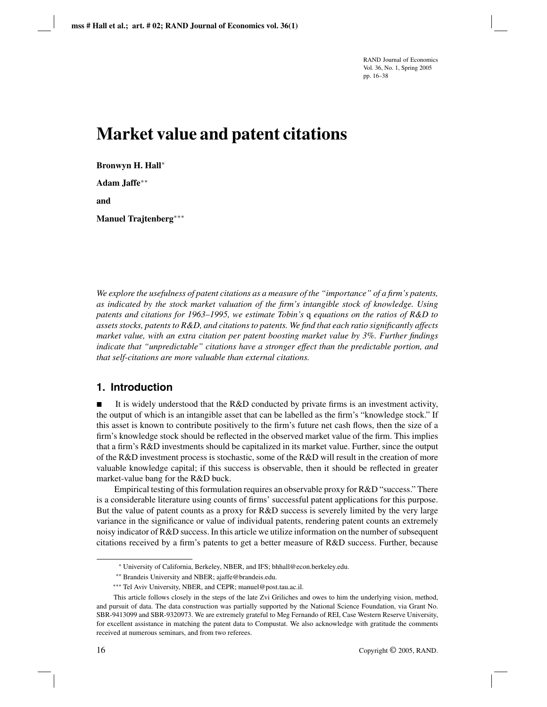RAND Journal of Economics Vol. 36, No. 1, Spring 2005 pp. 16–38

# **Market value and patent citations**

**Bronwyn H. Hall**∗ **Adam Jaffe**∗∗ **and**

**Manuel Trajtenberg**∗∗∗

*We explore the usefulness of patent citations as a measure of the "importance" of a firm's patents, as indicated by the stock market valuation of the firm's intangible stock of knowledge. Using patents and citations for 1963–1995, we estimate Tobin's* q *equations on the ratios of R&D to assets stocks, patents to R&D, and citations to patents. We find that each ratio significantly affects market value, with an extra citation per patent boosting market value by 3%. Further findings indicate that "unpredictable" citations have a stronger effect than the predictable portion, and that self-citations are more valuable than external citations.*

# **1. Introduction**

It is widely understood that the R&D conducted by private firms is an investment activity, the output of which is an intangible asset that can be labelled as the firm's "knowledge stock." If this asset is known to contribute positively to the firm's future net cash flows, then the size of a firm's knowledge stock should be reflected in the observed market value of the firm. This implies that a firm's R&D investments should be capitalized in its market value. Further, since the output of the R&D investment process is stochastic, some of the R&D will result in the creation of more valuable knowledge capital; if this success is observable, then it should be reflected in greater market-value bang for the R&D buck.

Empirical testing of this formulation requires an observable proxy for R&D "success." There is a considerable literature using counts of firms' successful patent applications for this purpose. But the value of patent counts as a proxy for R&D success is severely limited by the very large variance in the significance or value of individual patents, rendering patent counts an extremely noisy indicator of R&D success. In this article we utilize information on the number of subsequent citations received by a firm's patents to get a better measure of R&D success. Further, because

<sup>∗</sup> University of California, Berkeley, NBER, and IFS; bhhall@econ.berkeley.edu.

<sup>∗∗</sup> Brandeis University and NBER; ajaffe@brandeis.edu.

<sup>∗∗∗</sup> Tel Aviv University, NBER, and CEPR; manuel@post.tau.ac.il.

This article follows closely in the steps of the late Zvi Griliches and owes to him the underlying vision, method, and pursuit of data. The data construction was partially supported by the National Science Foundation, via Grant No. SBR-9413099 and SBR-9320973. We are extremely grateful to Meg Fernando of REI, Case Western Reserve University, for excellent assistance in matching the patent data to Compustat. We also acknowledge with gratitude the comments received at numerous seminars, and from two referees.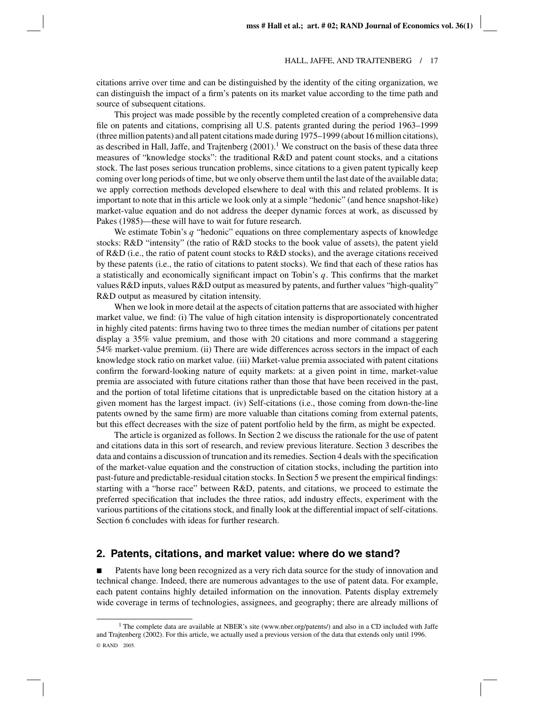citations arrive over time and can be distinguished by the identity of the citing organization, we can distinguish the impact of a firm's patents on its market value according to the time path and source of subsequent citations.

This project was made possible by the recently completed creation of a comprehensive data file on patents and citations, comprising all U.S. patents granted during the period 1963–1999 (three million patents) and all patent citations made during 1975–1999 (about 16 million citations), as described in Hall, Jaffe, and Trajtenberg  $(2001)$ .<sup>1</sup> We construct on the basis of these data three measures of "knowledge stocks": the traditional R&D and patent count stocks, and a citations stock. The last poses serious truncation problems, since citations to a given patent typically keep coming over long periods of time, but we only observe them until the last date of the available data; we apply correction methods developed elsewhere to deal with this and related problems. It is important to note that in this article we look only at a simple "hedonic" (and hence snapshot-like) market-value equation and do not address the deeper dynamic forces at work, as discussed by Pakes (1985)—these will have to wait for future research.

We estimate Tobin's *q* "hedonic" equations on three complementary aspects of knowledge stocks: R&D "intensity" (the ratio of R&D stocks to the book value of assets), the patent yield of R&D (i.e., the ratio of patent count stocks to R&D stocks), and the average citations received by these patents (i.e., the ratio of citations to patent stocks). We find that each of these ratios has a statistically and economically significant impact on Tobin's *q*. This confirms that the market values R&D inputs, values R&D output as measured by patents, and further values "high-quality" R&D output as measured by citation intensity.

When we look in more detail at the aspects of citation patterns that are associated with higher market value, we find: (i) The value of high citation intensity is disproportionately concentrated in highly cited patents: firms having two to three times the median number of citations per patent display a 35% value premium, and those with 20 citations and more command a staggering 54% market-value premium. (ii) There are wide differences across sectors in the impact of each knowledge stock ratio on market value. (iii) Market-value premia associated with patent citations confirm the forward-looking nature of equity markets: at a given point in time, market-value premia are associated with future citations rather than those that have been received in the past, and the portion of total lifetime citations that is unpredictable based on the citation history at a given moment has the largest impact. (iv) Self-citations (i.e., those coming from down-the-line patents owned by the same firm) are more valuable than citations coming from external patents, but this effect decreases with the size of patent portfolio held by the firm, as might be expected.

The article is organized as follows. In Section 2 we discuss the rationale for the use of patent and citations data in this sort of research, and review previous literature. Section 3 describes the data and contains a discussion of truncation and its remedies. Section 4 deals with the specification of the market-value equation and the construction of citation stocks, including the partition into past-future and predictable-residual citation stocks. In Section 5 we present the empirical findings: starting with a "horse race" between R&D, patents, and citations, we proceed to estimate the preferred specification that includes the three ratios, add industry effects, experiment with the various partitions of the citations stock, and finally look at the differential impact of self-citations. Section 6 concludes with ideas for further research.

## **2. Patents, citations, and market value: where do we stand?**

**Patents have long been recognized as a very rich data source for the study of innovation and** technical change. Indeed, there are numerous advantages to the use of patent data. For example, each patent contains highly detailed information on the innovation. Patents display extremely wide coverage in terms of technologies, assignees, and geography; there are already millions of

<sup>&</sup>lt;sup>1</sup> The complete data are available at NBER's site (www.nber.org/patents/) and also in a CD included with Jaffe and Trajtenberg (2002). For this article, we actually used a previous version of the data that extends only until 1996. © RAND 2005.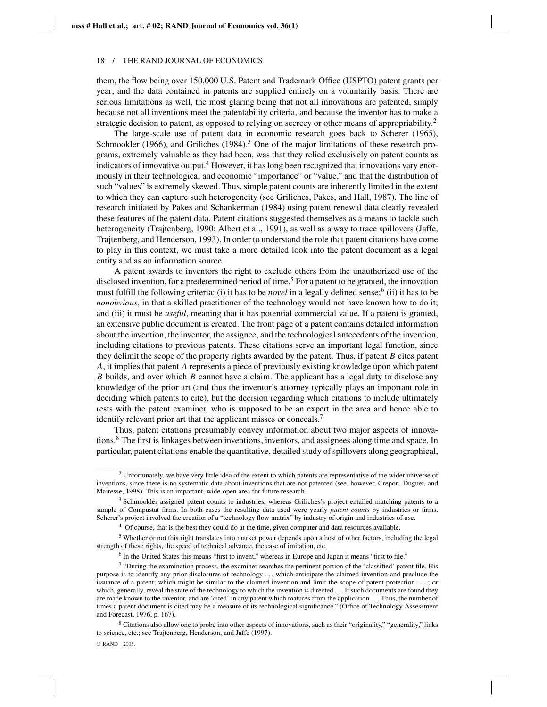them, the flow being over 150,000 U.S. Patent and Trademark Office (USPTO) patent grants per year; and the data contained in patents are supplied entirely on a voluntarily basis. There are serious limitations as well, the most glaring being that not all innovations are patented, simply because not all inventions meet the patentability criteria, and because the inventor has to make a strategic decision to patent, as opposed to relying on secrecy or other means of appropriability.<sup>2</sup>

The large-scale use of patent data in economic research goes back to Scherer (1965), Schmookler (1966), and Griliches (1984).<sup>3</sup> One of the major limitations of these research programs, extremely valuable as they had been, was that they relied exclusively on patent counts as indicators of innovative output.<sup>4</sup> However, it has long been recognized that innovations vary enormously in their technological and economic "importance" or "value," and that the distribution of such "values" is extremely skewed. Thus, simple patent counts are inherently limited in the extent to which they can capture such heterogeneity (see Griliches, Pakes, and Hall, 1987). The line of research initiated by Pakes and Schankerman (1984) using patent renewal data clearly revealed these features of the patent data. Patent citations suggested themselves as a means to tackle such heterogeneity (Trajtenberg, 1990; Albert et al., 1991), as well as a way to trace spillovers (Jaffe, Trajtenberg, and Henderson, 1993). In order to understand the role that patent citations have come to play in this context, we must take a more detailed look into the patent document as a legal entity and as an information source.

A patent awards to inventors the right to exclude others from the unauthorized use of the disclosed invention, for a predetermined period of time.<sup>5</sup> For a patent to be granted, the innovation must fulfill the following criteria: (i) it has to be *novel* in a legally defined sense;<sup>6</sup> (ii) it has to be *nonobvious*, in that a skilled practitioner of the technology would not have known how to do it; and (iii) it must be *useful*, meaning that it has potential commercial value. If a patent is granted, an extensive public document is created. The front page of a patent contains detailed information about the invention, the inventor, the assignee, and the technological antecedents of the invention, including citations to previous patents. These citations serve an important legal function, since they delimit the scope of the property rights awarded by the patent. Thus, if patent *B* cites patent *A*, it implies that patent *A* represents a piece of previously existing knowledge upon which patent *B* builds, and over which *B* cannot have a claim. The applicant has a legal duty to disclose any knowledge of the prior art (and thus the inventor's attorney typically plays an important role in deciding which patents to cite), but the decision regarding which citations to include ultimately rests with the patent examiner, who is supposed to be an expert in the area and hence able to identify relevant prior art that the applicant misses or conceals.<sup>7</sup>

Thus, patent citations presumably convey information about two major aspects of innovations.8 The first is linkages between inventions, inventors, and assignees along time and space. In particular, patent citations enable the quantitative, detailed study of spillovers along geographical,

<sup>&</sup>lt;sup>2</sup> Unfortunately, we have very little idea of the extent to which patents are representative of the wider universe of inventions, since there is no systematic data about inventions that are not patented (see, however, Crepon, Duguet, and Mairesse, 1998). This is an important, wide-open area for future research.

<sup>3</sup> Schmookler assigned patent counts to industries, whereas Griliches's project entailed matching patents to a sample of Compustat firms. In both cases the resulting data used were yearly *patent counts* by industries or firms. Scherer's project involved the creation of a "technology flow matrix" by industry of origin and industries of use.

<sup>4</sup> Of course, that is the best they could do at the time, given computer and data resources available.

<sup>5</sup> Whether or not this right translates into market power depends upon a host of other factors, including the legal strength of these rights, the speed of technical advance, the ease of imitation, etc.

<sup>6</sup> In the United States this means "first to invent," whereas in Europe and Japan it means "first to file."

<sup>7</sup> "During the examination process, the examiner searches the pertinent portion of the 'classified' patent file. His purpose is to identify any prior disclosures of technology ... which anticipate the claimed invention and preclude the issuance of a patent; which might be similar to the claimed invention and limit the scope of patent protection ... ; or which, generally, reveal the state of the technology to which the invention is directed . . . If such documents are found they are made known to the inventor, and are 'cited' in any patent which matures from the application ... Thus, the number of times a patent document is cited may be a measure of its technological significance." (Office of Technology Assessment and Forecast, 1976, p. 167).

<sup>8</sup> Citations also allow one to probe into other aspects of innovations, such as their "originality," "generality," links to science, etc.; see Trajtenberg, Henderson, and Jaffe (1997).

<sup>©</sup> RAND 2005.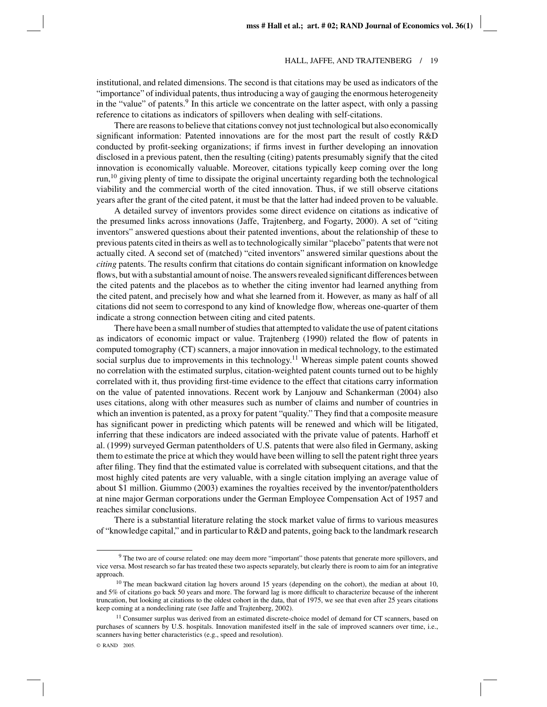institutional, and related dimensions. The second is that citations may be used as indicators of the "importance" of individual patents, thus introducing a way of gauging the enormous heterogeneity in the "value" of patents.<sup>9</sup> In this article we concentrate on the latter aspect, with only a passing reference to citations as indicators of spillovers when dealing with self-citations.

There are reasons to believe that citations convey not just technological but also economically significant information: Patented innovations are for the most part the result of costly R&D conducted by profit-seeking organizations; if firms invest in further developing an innovation disclosed in a previous patent, then the resulting (citing) patents presumably signify that the cited innovation is economically valuable. Moreover, citations typically keep coming over the long run,10 giving plenty of time to dissipate the original uncertainty regarding both the technological viability and the commercial worth of the cited innovation. Thus, if we still observe citations years after the grant of the cited patent, it must be that the latter had indeed proven to be valuable.

A detailed survey of inventors provides some direct evidence on citations as indicative of the presumed links across innovations (Jaffe, Trajtenberg, and Fogarty, 2000). A set of "citing inventors" answered questions about their patented inventions, about the relationship of these to previous patents cited in theirs as well as to technologically similar "placebo" patents that were not actually cited. A second set of (matched) "cited inventors" answered similar questions about the *citing* patents. The results confirm that citations do contain significant information on knowledge flows, but with a substantial amount of noise. The answers revealed significant differences between the cited patents and the placebos as to whether the citing inventor had learned anything from the cited patent, and precisely how and what she learned from it. However, as many as half of all citations did not seem to correspond to any kind of knowledge flow, whereas one-quarter of them indicate a strong connection between citing and cited patents.

There have been a small number of studies that attempted to validate the use of patent citations as indicators of economic impact or value. Trajtenberg (1990) related the flow of patents in computed tomography (CT) scanners, a major innovation in medical technology, to the estimated social surplus due to improvements in this technology.<sup>11</sup> Whereas simple patent counts showed no correlation with the estimated surplus, citation-weighted patent counts turned out to be highly correlated with it, thus providing first-time evidence to the effect that citations carry information on the value of patented innovations. Recent work by Lanjouw and Schankerman (2004) also uses citations, along with other measures such as number of claims and number of countries in which an invention is patented, as a proxy for patent "quality." They find that a composite measure has significant power in predicting which patents will be renewed and which will be litigated, inferring that these indicators are indeed associated with the private value of patents. Harhoff et al. (1999) surveyed German patentholders of U.S. patents that were also filed in Germany, asking them to estimate the price at which they would have been willing to sell the patent right three years after filing. They find that the estimated value is correlated with subsequent citations, and that the most highly cited patents are very valuable, with a single citation implying an average value of about \$1 million. Giummo (2003) examines the royalties received by the inventor/patentholders at nine major German corporations under the German Employee Compensation Act of 1957 and reaches similar conclusions.

There is a substantial literature relating the stock market value of firms to various measures of "knowledge capital," and in particular to R&D and patents, going back to the landmark research

<sup>&</sup>lt;sup>9</sup> The two are of course related: one may deem more "important" those patents that generate more spillovers, and vice versa. Most research so far has treated these two aspects separately, but clearly there is room to aim for an integrative approach.

 $10$  The mean backward citation lag hovers around 15 years (depending on the cohort), the median at about 10, and 5% of citations go back 50 years and more. The forward lag is more difficult to characterize because of the inherent truncation, but looking at citations to the oldest cohort in the data, that of 1975, we see that even after 25 years citations keep coming at a nondeclining rate (see Jaffe and Trajtenberg, 2002).

<sup>&</sup>lt;sup>11</sup> Consumer surplus was derived from an estimated discrete-choice model of demand for CT scanners, based on purchases of scanners by U.S. hospitals. Innovation manifested itself in the sale of improved scanners over time, i.e., scanners having better characteristics (e.g., speed and resolution).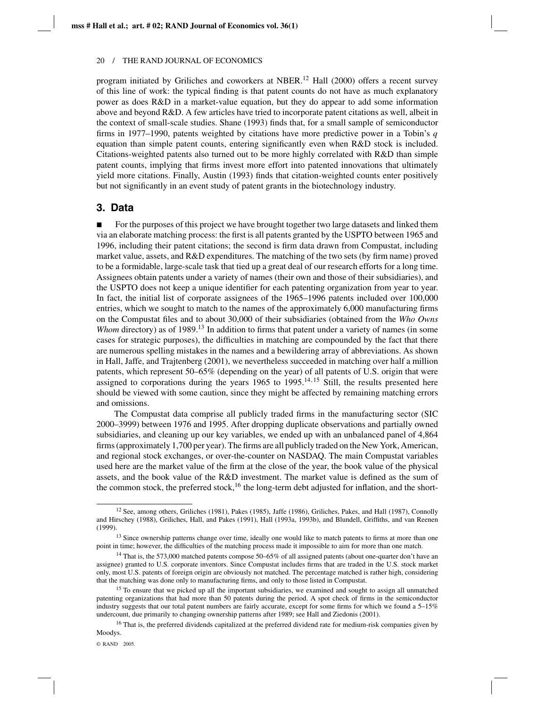program initiated by Griliches and coworkers at NBER.<sup>12</sup> Hall (2000) offers a recent survey of this line of work: the typical finding is that patent counts do not have as much explanatory power as does R&D in a market-value equation, but they do appear to add some information above and beyond R&D. A few articles have tried to incorporate patent citations as well, albeit in the context of small-scale studies. Shane (1993) finds that, for a small sample of semiconductor firms in 1977–1990, patents weighted by citations have more predictive power in a Tobin's *q* equation than simple patent counts, entering significantly even when R&D stock is included. Citations-weighted patents also turned out to be more highly correlated with R&D than simple patent counts, implying that firms invest more effort into patented innovations that ultimately yield more citations. Finally, Austin (1993) finds that citation-weighted counts enter positively but not significantly in an event study of patent grants in the biotechnology industry.

# **3. Data**

For the purposes of this project we have brought together two large datasets and linked them via an elaborate matching process: the first is all patents granted by the USPTO between 1965 and 1996, including their patent citations; the second is firm data drawn from Compustat, including market value, assets, and R&D expenditures. The matching of the two sets (by firm name) proved to be a formidable, large-scale task that tied up a great deal of our research efforts for a long time. Assignees obtain patents under a variety of names (their own and those of their subsidiaries), and the USPTO does not keep a unique identifier for each patenting organization from year to year. In fact, the initial list of corporate assignees of the 1965–1996 patents included over 100,000 entries, which we sought to match to the names of the approximately 6,000 manufacturing firms on the Compustat files and to about 30,000 of their subsidiaries (obtained from the *Who Owns Whom* directory) as of 1989.<sup>13</sup> In addition to firms that patent under a variety of names (in some cases for strategic purposes), the difficulties in matching are compounded by the fact that there are numerous spelling mistakes in the names and a bewildering array of abbreviations. As shown in Hall, Jaffe, and Trajtenberg (2001), we nevertheless succeeded in matching over half a million patents, which represent 50–65% (depending on the year) of all patents of U.S. origin that were assigned to corporations during the years  $1965$  to  $1995$ .<sup>14,15</sup> Still, the results presented here should be viewed with some caution, since they might be affected by remaining matching errors and omissions.

The Compustat data comprise all publicly traded firms in the manufacturing sector (SIC 2000–3999) between 1976 and 1995. After dropping duplicate observations and partially owned subsidiaries, and cleaning up our key variables, we ended up with an unbalanced panel of 4,864 firms (approximately 1,700 per year). The firms are all publicly traded on the New York, American, and regional stock exchanges, or over-the-counter on NASDAQ. The main Compustat variables used here are the market value of the firm at the close of the year, the book value of the physical assets, and the book value of the R&D investment. The market value is defined as the sum of the common stock, the preferred stock,<sup>16</sup> the long-term debt adjusted for inflation, and the short-

<sup>&</sup>lt;sup>12</sup> See, among others, Griliches (1981), Pakes (1985), Jaffe (1986), Griliches, Pakes, and Hall (1987), Connolly and Hirschey (1988), Griliches, Hall, and Pakes (1991), Hall (1993a, 1993b), and Blundell, Griffiths, and van Reenen (1999).

<sup>&</sup>lt;sup>13</sup> Since ownership patterns change over time, ideally one would like to match patents to firms at more than one point in time; however, the difficulties of the matching process made it impossible to aim for more than one match.

<sup>14</sup> That is, the 573,000 matched patents compose 50–65% of all assigned patents (about one-quarter don't have an assignee) granted to U.S. corporate inventors. Since Compustat includes firms that are traded in the U.S. stock market only, most U.S. patents of foreign origin are obviously not matched. The percentage matched is rather high, considering that the matching was done only to manufacturing firms, and only to those listed in Compustat.

<sup>&</sup>lt;sup>15</sup> To ensure that we picked up all the important subsidiaries, we examined and sought to assign all unmatched patenting organizations that had more than 50 patents during the period. A spot check of firms in the semiconductor industry suggests that our total patent numbers are fairly accurate, except for some firms for which we found a 5–15% undercount, due primarily to changing ownership patterns after 1989; see Hall and Ziedonis (2001).

<sup>&</sup>lt;sup>16</sup> That is, the preferred dividends capitalized at the preferred dividend rate for medium-risk companies given by Moodys.

<sup>©</sup> RAND 2005.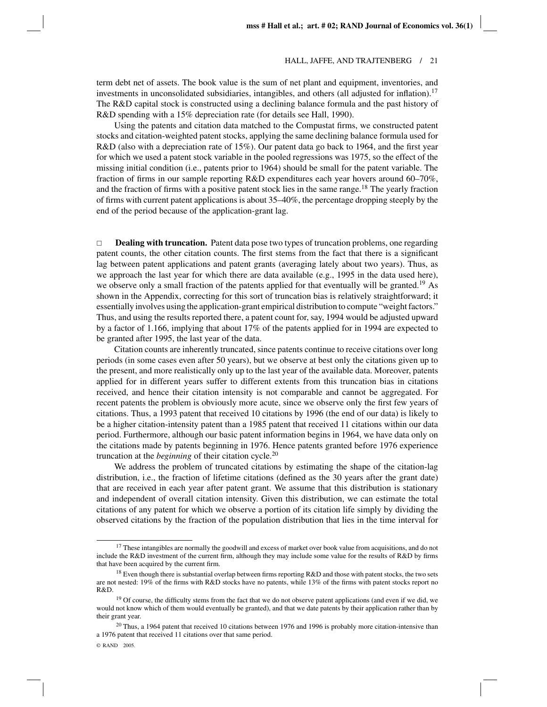term debt net of assets. The book value is the sum of net plant and equipment, inventories, and investments in unconsolidated subsidiaries, intangibles, and others (all adjusted for inflation).<sup>17</sup> The R&D capital stock is constructed using a declining balance formula and the past history of R&D spending with a 15% depreciation rate (for details see Hall, 1990).

Using the patents and citation data matched to the Compustat firms, we constructed patent stocks and citation-weighted patent stocks, applying the same declining balance formula used for R&D (also with a depreciation rate of 15%). Our patent data go back to 1964, and the first year for which we used a patent stock variable in the pooled regressions was 1975, so the effect of the missing initial condition (i.e., patents prior to 1964) should be small for the patent variable. The fraction of firms in our sample reporting R&D expenditures each year hovers around 60–70%, and the fraction of firms with a positive patent stock lies in the same range.<sup>18</sup> The yearly fraction of firms with current patent applications is about 35–40%, the percentage dropping steeply by the end of the period because of the application-grant lag.

 $\Box$  **Dealing with truncation.** Patent data pose two types of truncation problems, one regarding patent counts, the other citation counts. The first stems from the fact that there is a significant lag between patent applications and patent grants (averaging lately about two years). Thus, as we approach the last year for which there are data available (e.g., 1995 in the data used here), we observe only a small fraction of the patents applied for that eventually will be granted.<sup>19</sup> As shown in the Appendix, correcting for this sort of truncation bias is relatively straightforward; it essentially involves using the application-grant empirical distribution to compute "weight factors." Thus, and using the results reported there, a patent count for, say, 1994 would be adjusted upward by a factor of 1.166, implying that about 17% of the patents applied for in 1994 are expected to be granted after 1995, the last year of the data.

Citation counts are inherently truncated, since patents continue to receive citations over long periods (in some cases even after 50 years), but we observe at best only the citations given up to the present, and more realistically only up to the last year of the available data. Moreover, patents applied for in different years suffer to different extents from this truncation bias in citations received, and hence their citation intensity is not comparable and cannot be aggregated. For recent patents the problem is obviously more acute, since we observe only the first few years of citations. Thus, a 1993 patent that received 10 citations by 1996 (the end of our data) is likely to be a higher citation-intensity patent than a 1985 patent that received 11 citations within our data period. Furthermore, although our basic patent information begins in 1964, we have data only on the citations made by patents beginning in 1976. Hence patents granted before 1976 experience truncation at the *beginning* of their citation cycle.20

We address the problem of truncated citations by estimating the shape of the citation-lag distribution, i.e., the fraction of lifetime citations (defined as the 30 years after the grant date) that are received in each year after patent grant. We assume that this distribution is stationary and independent of overall citation intensity. Given this distribution, we can estimate the total citations of any patent for which we observe a portion of its citation life simply by dividing the observed citations by the fraction of the population distribution that lies in the time interval for

<sup>&</sup>lt;sup>17</sup> These intangibles are normally the goodwill and excess of market over book value from acquisitions, and do not include the R&D investment of the current firm, although they may include some value for the results of R&D by firms that have been acquired by the current firm.

<sup>&</sup>lt;sup>18</sup> Even though there is substantial overlap between firms reporting R&D and those with patent stocks, the two sets are not nested: 19% of the firms with R&D stocks have no patents, while 13% of the firms with patent stocks report no R&D.

<sup>&</sup>lt;sup>19</sup> Of course, the difficulty stems from the fact that we do not observe patent applications (and even if we did, we would not know which of them would eventually be granted), and that we date patents by their application rather than by their grant year.

 $^{20}$  Thus, a 1964 patent that received 10 citations between 1976 and 1996 is probably more citation-intensive than a 1976 patent that received 11 citations over that same period.

<sup>©</sup> RAND 2005.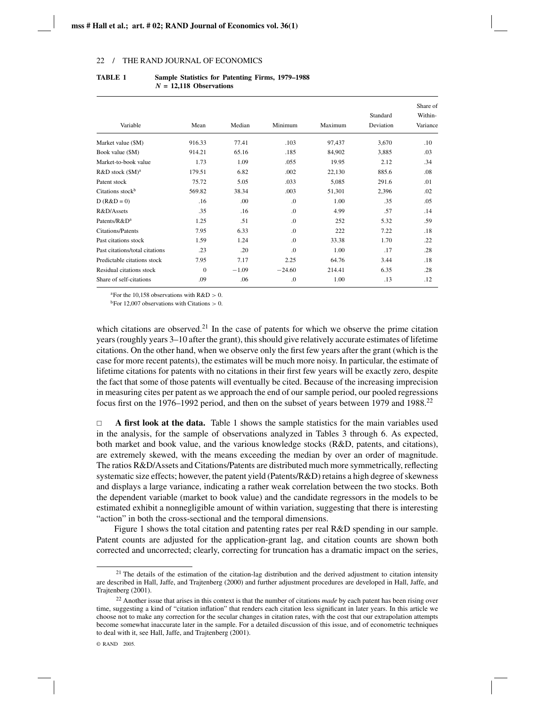| Variable                       | Mean     | Median  | Minimum  | Maximum | Standard<br>Deviation | Share of<br>Within-<br>Variance |
|--------------------------------|----------|---------|----------|---------|-----------------------|---------------------------------|
|                                |          |         |          |         |                       |                                 |
| Market value (\$M)             | 916.33   | 77.41   | .103     | 97,437  | 3,670                 | .10                             |
| Book value (\$M)               | 914.21   | 65.16   | .185     | 84,902  | 3,885                 | .03                             |
| Market-to-book value           | 1.73     | 1.09    | .055     | 19.95   | 2.12                  | .34                             |
| R&D stock (\$M) <sup>a</sup>   | 179.51   | 6.82    | .002     | 22,130  | 885.6                 | .08                             |
| Patent stock                   | 75.72    | 5.05    | .033     | 5,085   | 291.6                 | .01                             |
| Citations stock <sup>b</sup>   | 569.82   | 38.34   | .003     | 51,301  | 2,396                 | .02                             |
| $D (R&D=0)$                    | .16      | .00     | $\Omega$ | 1.00    | .35                   | .05                             |
| R&D/Assets                     | .35      | .16     | $\Omega$ | 4.99    | .57                   | .14                             |
| Patents/R&D <sup>a</sup>       | 1.25     | .51     | $\Omega$ | 252     | 5.32                  | .59                             |
| <b>Citations/Patents</b>       | 7.95     | 6.33    | $\Omega$ | 222     | 7.22                  | .18                             |
| Past citations stock           | 1.59     | 1.24    | $\Omega$ | 33.38   | 1.70                  | .22                             |
| Past citations/total citations | .23      | .20     | $\Omega$ | 1.00    | .17                   | .28                             |
| Predictable citations stock    | 7.95     | 7.17    | 2.25     | 64.76   | 3.44                  | .18                             |
| Residual citations stock       | $\Omega$ | $-1.09$ | $-24.60$ | 214.41  | 6.35                  | .28                             |
| Share of self-citations        | .09      | .06     | .0       | 1.00    | .13                   | .12                             |

### **TABLE 1 Sample Statistics for Patenting Firms, 1979–1988** *N* **= 12,118 Observations**

<sup>a</sup>For the 10,158 observations with  $R&D > 0$ .

<sup>b</sup>For 12,007 observations with Citations  $> 0$ .

which citations are observed.<sup>21</sup> In the case of patents for which we observe the prime citation years (roughly years 3–10 after the grant), this should give relatively accurate estimates of lifetime citations. On the other hand, when we observe only the first few years after the grant (which is the case for more recent patents), the estimates will be much more noisy. In particular, the estimate of lifetime citations for patents with no citations in their first few years will be exactly zero, despite the fact that some of those patents will eventually be cited. Because of the increasing imprecision in measuring cites per patent as we approach the end of our sample period, our pooled regressions focus first on the 1976–1992 period, and then on the subset of years between 1979 and 1988.<sup>22</sup>

 $\Box$  **A first look at the data.** Table 1 shows the sample statistics for the main variables used in the analysis, for the sample of observations analyzed in Tables 3 through 6. As expected, both market and book value, and the various knowledge stocks (R&D, patents, and citations), are extremely skewed, with the means exceeding the median by over an order of magnitude. The ratios R&D/Assets and Citations/Patents are distributed much more symmetrically, reflecting systematic size effects; however, the patent yield (Patents/R&D) retains a high degree of skewness and displays a large variance, indicating a rather weak correlation between the two stocks. Both the dependent variable (market to book value) and the candidate regressors in the models to be estimated exhibit a nonnegligible amount of within variation, suggesting that there is interesting "action" in both the cross-sectional and the temporal dimensions.

Figure 1 shows the total citation and patenting rates per real R&D spending in our sample. Patent counts are adjusted for the application-grant lag, and citation counts are shown both corrected and uncorrected; clearly, correcting for truncation has a dramatic impact on the series,

<sup>&</sup>lt;sup>21</sup> The details of the estimation of the citation-lag distribution and the derived adjustment to citation intensity are described in Hall, Jaffe, and Trajtenberg (2000) and further adjustment procedures are developed in Hall, Jaffe, and Trajtenberg (2001).

<sup>22</sup> Another issue that arises in this context is that the number of citations *made* by each patent has been rising over time, suggesting a kind of "citation inflation" that renders each citation less significant in later years. In this article we choose not to make any correction for the secular changes in citation rates, with the cost that our extrapolation attempts become somewhat inaccurate later in the sample. For a detailed discussion of this issue, and of econometric techniques to deal with it, see Hall, Jaffe, and Trajtenberg (2001).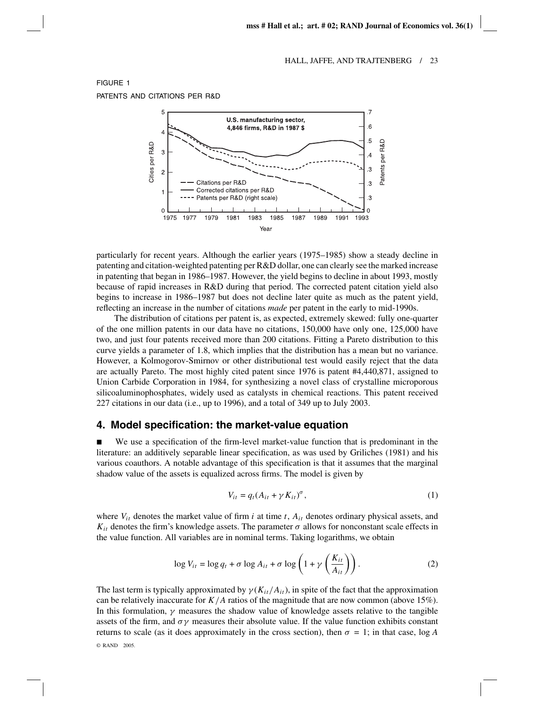

# particularly for recent years. Although the earlier years (1975–1985) show a steady decline in patenting and citation-weighted patenting per R&D dollar, one can clearly see the marked increase in patenting that began in 1986–1987. However, the yield begins to decline in about 1993, mostly because of rapid increases in R&D during that period. The corrected patent citation yield also begins to increase in 1986–1987 but does not decline later quite as much as the patent yield, reflecting an increase in the number of citations *made* per patent in the early to mid-1990s.

The distribution of citations per patent is, as expected, extremely skewed: fully one-quarter of the one million patents in our data have no citations, 150,000 have only one, 125,000 have two, and just four patents received more than 200 citations. Fitting a Pareto distribution to this curve yields a parameter of 1.8, which implies that the distribution has a mean but no variance. However, a Kolmogorov-Smirnov or other distributional test would easily reject that the data are actually Pareto. The most highly cited patent since 1976 is patent #4,440,871, assigned to Union Carbide Corporation in 1984, for synthesizing a novel class of crystalline microporous silicoaluminophosphates, widely used as catalysts in chemical reactions. This patent received 227 citations in our data (i.e., up to 1996), and a total of 349 up to July 2003.

### **4. Model specification: the market-value equation**

 We use a specification of the firm-level market-value function that is predominant in the literature: an additively separable linear specification, as was used by Griliches (1981) and his various coauthors. A notable advantage of this specification is that it assumes that the marginal shadow value of the assets is equalized across firms. The model is given by

$$
V_{it} = q_t (A_{it} + \gamma K_{it})^{\sigma}, \qquad (1)
$$

where  $V_{it}$  denotes the market value of firm *i* at time  $t$ ,  $A_{it}$  denotes ordinary physical assets, and  $K_{it}$  denotes the firm's knowledge assets. The parameter  $\sigma$  allows for nonconstant scale effects in the value function. All variables are in nominal terms. Taking logarithms, we obtain

$$
\log V_{it} = \log q_t + \sigma \log A_{it} + \sigma \log \left( 1 + \gamma \left( \frac{K_{it}}{A_{it}} \right) \right). \tag{2}
$$

The last term is typically approximated by  $\gamma(K_{it}/A_{it})$ , in spite of the fact that the approximation can be relatively inaccurate for *K*/*A* ratios of the magnitude that are now common (above 15%). In this formulation,  $\gamma$  measures the shadow value of knowledge assets relative to the tangible assets of the firm, and  $\sigma\gamma$  measures their absolute value. If the value function exhibits constant returns to scale (as it does approximately in the cross section), then  $\sigma = 1$ ; in that case, log *A* 

© RAND 2005.

FIGURE 1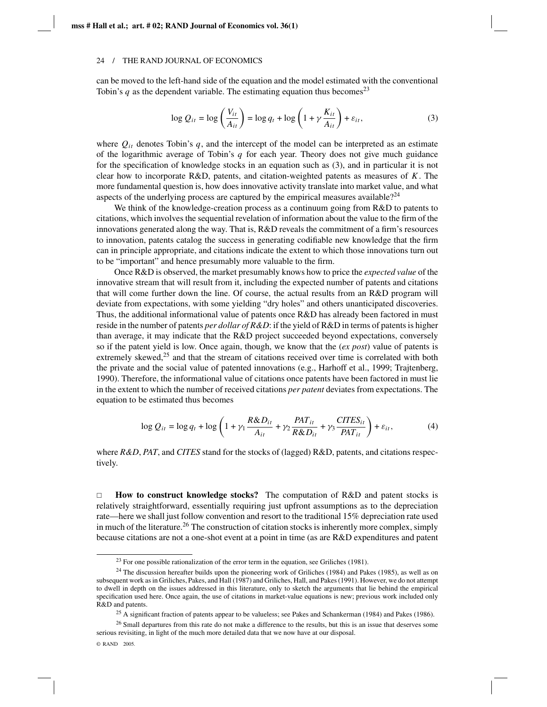can be moved to the left-hand side of the equation and the model estimated with the conventional Tobin's  $q$  as the dependent variable. The estimating equation thus becomes<sup>23</sup>

$$
\log Q_{it} = \log \left( \frac{V_{it}}{A_{it}} \right) = \log q_t + \log \left( 1 + \gamma \frac{K_{it}}{A_{it}} \right) + \varepsilon_{it},\tag{3}
$$

where  $Q_{it}$  denotes Tobin's q, and the intercept of the model can be interpreted as an estimate of the logarithmic average of Tobin's *q* for each year. Theory does not give much guidance for the specification of knowledge stocks in an equation such as (3), and in particular it is not clear how to incorporate R&D, patents, and citation-weighted patents as measures of *K*. The more fundamental question is, how does innovative activity translate into market value, and what aspects of the underlying process are captured by the empirical measures available?<sup>24</sup>

We think of the knowledge-creation process as a continuum going from R&D to patents to citations, which involves the sequential revelation of information about the value to the firm of the innovations generated along the way. That is, R&D reveals the commitment of a firm's resources to innovation, patents catalog the success in generating codifiable new knowledge that the firm can in principle appropriate, and citations indicate the extent to which those innovations turn out to be "important" and hence presumably more valuable to the firm.

Once R&D is observed, the market presumably knows how to price the *expected value* of the innovative stream that will result from it, including the expected number of patents and citations that will come further down the line. Of course, the actual results from an R&D program will deviate from expectations, with some yielding "dry holes" and others unanticipated discoveries. Thus, the additional informational value of patents once R&D has already been factored in must reside in the number of patents *per dollar of R&D*: if the yield of R&D in terms of patents is higher than average, it may indicate that the R&D project succeeded beyond expectations, conversely so if the patent yield is low. Once again, though, we know that the (*ex post*) value of patents is extremely skewed, $25$  and that the stream of citations received over time is correlated with both the private and the social value of patented innovations (e.g., Harhoff et al., 1999; Trajtenberg, 1990). Therefore, the informational value of citations once patents have been factored in must lie in the extent to which the number of received citations *per patent* deviates from expectations. The equation to be estimated thus becomes

$$
\log Q_{it} = \log q_t + \log \left( 1 + \gamma_1 \frac{R \& D_{it}}{A_{it}} + \gamma_2 \frac{PAT_{it}}{R \& D_{it}} + \gamma_3 \frac{CITES_{it}}{PAT_{it}} \right) + \varepsilon_{it},\tag{4}
$$

where *R&D*, *PAT*, and *CITES* stand for the stocks of (lagged) R&D, patents, and citations respectively.

 $\Box$  **How to construct knowledge stocks?** The computation of R&D and patent stocks is relatively straightforward, essentially requiring just upfront assumptions as to the depreciation rate—here we shall just follow convention and resort to the traditional 15% depreciation rate used in much of the literature.<sup>26</sup> The construction of citation stocks is inherently more complex, simply because citations are not a one-shot event at a point in time (as are R&D expenditures and patent

 $^{23}$  For one possible rationalization of the error term in the equation, see Griliches (1981).

<sup>&</sup>lt;sup>24</sup> The discussion hereafter builds upon the pioneering work of Griliches (1984) and Pakes (1985), as well as on subsequent work as in Griliches, Pakes, and Hall (1987) and Griliches, Hall, and Pakes (1991). However, we do not attempt to dwell in depth on the issues addressed in this literature, only to sketch the arguments that lie behind the empirical specification used here. Once again, the use of citations in market-value equations is new; previous work included only R&D and patents.

<sup>&</sup>lt;sup>25</sup> A significant fraction of patents appear to be valueless; see Pakes and Schankerman (1984) and Pakes (1986).

<sup>&</sup>lt;sup>26</sup> Small departures from this rate do not make a difference to the results, but this is an issue that deserves some serious revisiting, in light of the much more detailed data that we now have at our disposal.

<sup>©</sup> RAND 2005.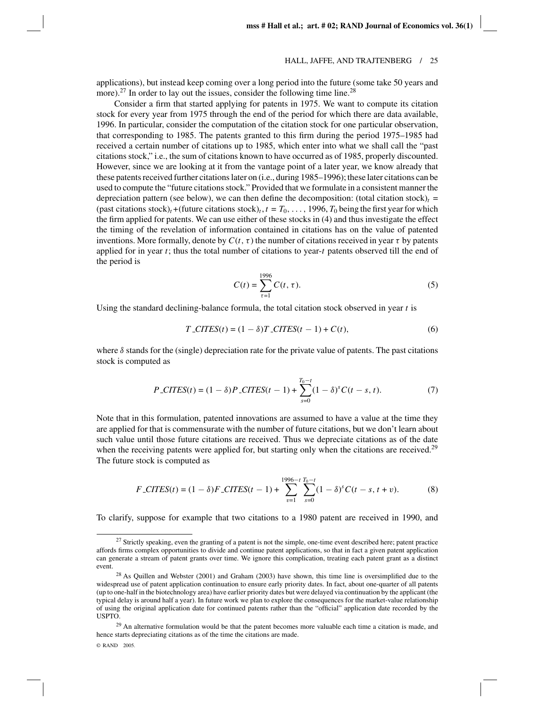applications), but instead keep coming over a long period into the future (some take 50 years and more).<sup>27</sup> In order to lay out the issues, consider the following time line.<sup>28</sup>

Consider a firm that started applying for patents in 1975. We want to compute its citation stock for every year from 1975 through the end of the period for which there are data available, 1996. In particular, consider the computation of the citation stock for one particular observation, that corresponding to 1985. The patents granted to this firm during the period 1975–1985 had received a certain number of citations up to 1985, which enter into what we shall call the "past citations stock," i.e., the sum of citations known to have occurred as of 1985, properly discounted. However, since we are looking at it from the vantage point of a later year, we know already that these patents received further citations later on (i.e., during 1985–1996); these later citations can be used to compute the "future citations stock." Provided that we formulate in a consistent manner the depreciation pattern (see below), we can then define the decomposition: (total citation stock)<sub>t</sub> = (past citations stock)<sub>t</sub> +(future citations stock)<sub>t</sub>,  $t = T_0, \ldots, 1996, T_0$  being the first year for which the firm applied for patents. We can use either of these stocks in (4) and thus investigate the effect the timing of the revelation of information contained in citations has on the value of patented inventions. More formally, denote by  $C(t, \tau)$  the number of citations received in year  $\tau$  by patents applied for in year *t*; thus the total number of citations to year-*t* patents observed till the end of the period is

$$
C(t) = \sum_{\tau=1}^{1996} C(t, \tau).
$$
 (5)

Using the standard declining-balance formula, the total citation stock observed in year *t* is

$$
T\_CITES(t) = (1 - \delta)T\_CITES(t - 1) + C(t),
$$
\n
$$
(6)
$$

where  $\delta$  stands for the (single) depreciation rate for the private value of patents. The past citations stock is computed as

$$
P\text{-CITES}(t) = (1 - \delta)P\text{-CITES}(t - 1) + \sum_{s=0}^{T_0 - t} (1 - \delta)^s C(t - s, t). \tag{7}
$$

Note that in this formulation, patented innovations are assumed to have a value at the time they are applied for that is commensurate with the number of future citations, but we don't learn about such value until those future citations are received. Thus we depreciate citations as of the date when the receiving patents were applied for, but starting only when the citations are received.<sup>29</sup> The future stock is computed as

$$
F\_CITES(t) = (1 - \delta)F\_CITES(t - 1) + \sum_{v=1}^{1996 - t} \sum_{s=0}^{T_0 - t} (1 - \delta)^s C(t - s, t + v).
$$
 (8)

To clarify, suppose for example that two citations to a 1980 patent are received in 1990, and

<sup>&</sup>lt;sup>27</sup> Strictly speaking, even the granting of a patent is not the simple, one-time event described here; patent practice affords firms complex opportunities to divide and continue patent applications, so that in fact a given patent application can generate a stream of patent grants over time. We ignore this complication, treating each patent grant as a distinct event.

 $28$  As Quillen and Webster (2001) and Graham (2003) have shown, this time line is oversimplified due to the widespread use of patent application continuation to ensure early priority dates. In fact, about one-quarter of all patents (up to one-half in the biotechnology area) have earlier priority dates but were delayed via continuation by the applicant (the typical delay is around half a year). In future work we plan to explore the consequences for the market-value relationship of using the original application date for continued patents rather than the "official" application date recorded by the USPTO.

 $29$  An alternative formulation would be that the patent becomes more valuable each time a citation is made, and hence starts depreciating citations as of the time the citations are made.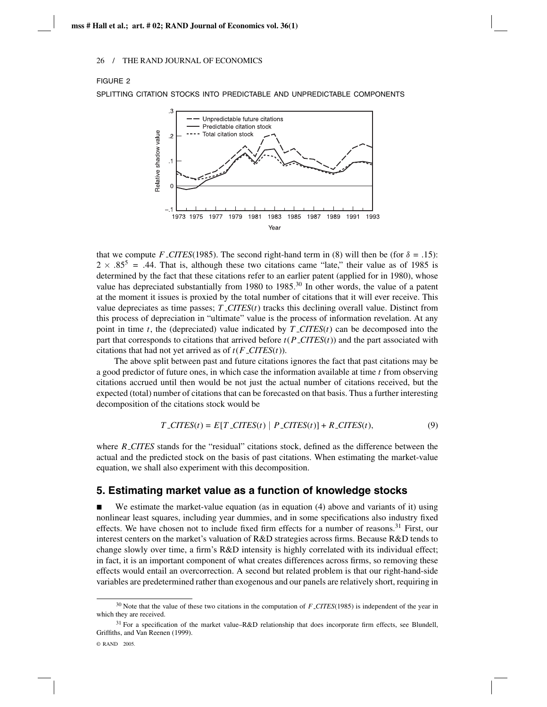### FIGURE 2

SPLITTING CITATION STOCKS INTO PREDICTABLE AND UNPREDICTABLE COMPONENTS



that we compute *F*  $\angle$ *CITES*(1985). The second right-hand term in (8) will then be (for  $\delta = .15$ ):  $2 \times .85^5 = .44$ . That is, although these two citations came "late," their value as of 1985 is determined by the fact that these citations refer to an earlier patent (applied for in 1980), whose value has depreciated substantially from 1980 to 1985.<sup>30</sup> In other words, the value of a patent at the moment it issues is proxied by the total number of citations that it will ever receive. This value depreciates as time passes;  $T\_CITES(t)$  tracks this declining overall value. Distinct from this process of depreciation in "ultimate" value is the process of information revelation. At any point in time *t*, the (depreciated) value indicated by *T CITES*(*t*) can be decomposed into the part that corresponds to citations that arrived before  $t(P\_CITES(t))$  and the part associated with citations that had not yet arrived as of  $t(F\_CITER(t))$ .

The above split between past and future citations ignores the fact that past citations may be a good predictor of future ones, in which case the information available at time *t* from observing citations accrued until then would be not just the actual number of citations received, but the expected (total) number of citations that can be forecasted on that basis. Thus a further interesting decomposition of the citations stock would be

$$
T\_CITES(t) = E[T\_CITES(t) | P\_CITES(t)] + R\_CITES(t),
$$
\n(9)

where *R\_CITES* stands for the "residual" citations stock, defined as the difference between the actual and the predicted stock on the basis of past citations. When estimating the market-value equation, we shall also experiment with this decomposition.

## **5. Estimating market value as a function of knowledge stocks**

 $\blacksquare$  We estimate the market-value equation (as in equation (4) above and variants of it) using nonlinear least squares, including year dummies, and in some specifications also industry fixed effects. We have chosen not to include fixed firm effects for a number of reasons.<sup>31</sup> First, our interest centers on the market's valuation of R&D strategies across firms. Because R&D tends to change slowly over time, a firm's R&D intensity is highly correlated with its individual effect; in fact, it is an important component of what creates differences across firms, so removing these effects would entail an overcorrection. A second but related problem is that our right-hand-side variables are predetermined rather than exogenous and our panels are relatively short, requiring in

<sup>30</sup> Note that the value of these two citations in the computation of *F CITES*(1985) is independent of the year in which they are received.

 $31$  For a specification of the market value–R&D relationship that does incorporate firm effects, see Blundell, Griffiths, and Van Reenen (1999).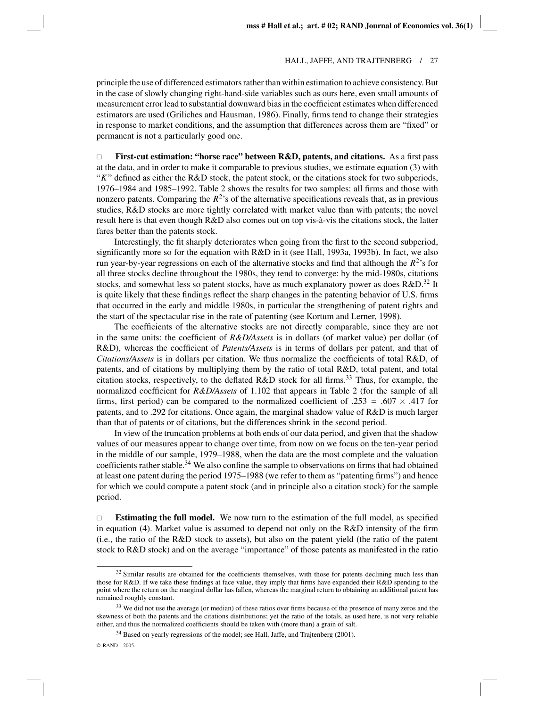principle the use of differenced estimators rather than within estimation to achieve consistency. But in the case of slowly changing right-hand-side variables such as ours here, even small amounts of measurement error lead to substantial downward bias in the coefficient estimates when differenced estimators are used (Griliches and Hausman, 1986). Finally, firms tend to change their strategies in response to market conditions, and the assumption that differences across them are "fixed" or permanent is not a particularly good one.

 $\Box$  **First-cut estimation: "horse race" between R&D, patents, and citations.** As a first pass at the data, and in order to make it comparable to previous studies, we estimate equation (3) with "*K*" defined as either the R&D stock, the patent stock, or the citations stock for two subperiods, 1976–1984 and 1985–1992. Table 2 shows the results for two samples: all firms and those with nonzero patents. Comparing the  $R^2$ 's of the alternative specifications reveals that, as in previous studies, R&D stocks are more tightly correlated with market value than with patents; the novel result here is that even though  $R&D$  also comes out on top vis- $a$ -vis the citations stock, the latter fares better than the patents stock.

Interestingly, the fit sharply deteriorates when going from the first to the second subperiod, significantly more so for the equation with R&D in it (see Hall, 1993a, 1993b). In fact, we also run year-by-year regressions on each of the alternative stocks and find that although the  $R^2$ 's for all three stocks decline throughout the 1980s, they tend to converge: by the mid-1980s, citations stocks, and somewhat less so patent stocks, have as much explanatory power as does  $R&D$ .<sup>32</sup> It is quite likely that these findings reflect the sharp changes in the patenting behavior of U.S. firms that occurred in the early and middle 1980s, in particular the strengthening of patent rights and the start of the spectacular rise in the rate of patenting (see Kortum and Lerner, 1998).

The coefficients of the alternative stocks are not directly comparable, since they are not in the same units: the coefficient of *R&D/Assets* is in dollars (of market value) per dollar (of R&D), whereas the coefficient of *Patents/Assets* is in terms of dollars per patent, and that of *Citations/Assets* is in dollars per citation. We thus normalize the coefficients of total R&D, of patents, and of citations by multiplying them by the ratio of total R&D, total patent, and total citation stocks, respectively, to the deflated R&D stock for all firms.<sup>33</sup> Thus, for example, the normalized coefficient for *R&D/Assets* of 1.102 that appears in Table 2 (for the sample of all firms, first period) can be compared to the normalized coefficient of .253 = .607  $\times$  .417 for patents, and to .292 for citations. Once again, the marginal shadow value of R&D is much larger than that of patents or of citations, but the differences shrink in the second period.

In view of the truncation problems at both ends of our data period, and given that the shadow values of our measures appear to change over time, from now on we focus on the ten-year period in the middle of our sample, 1979–1988, when the data are the most complete and the valuation coefficients rather stable.34 We also confine the sample to observations on firms that had obtained at least one patent during the period 1975–1988 (we refer to them as "patenting firms") and hence for which we could compute a patent stock (and in principle also a citation stock) for the sample period.

 $\Box$  **Estimating the full model.** We now turn to the estimation of the full model, as specified in equation (4). Market value is assumed to depend not only on the R&D intensity of the firm (i.e., the ratio of the R&D stock to assets), but also on the patent yield (the ratio of the patent stock to R&D stock) and on the average "importance" of those patents as manifested in the ratio

<sup>&</sup>lt;sup>32</sup> Similar results are obtained for the coefficients themselves, with those for patents declining much less than those for R&D. If we take these findings at face value, they imply that firms have expanded their R&D spending to the point where the return on the marginal dollar has fallen, whereas the marginal return to obtaining an additional patent has remained roughly constant.

<sup>&</sup>lt;sup>33</sup> We did not use the average (or median) of these ratios over firms because of the presence of many zeros and the skewness of both the patents and the citations distributions; yet the ratio of the totals, as used here, is not very reliable either, and thus the normalized coefficients should be taken with (more than) a grain of salt.

<sup>&</sup>lt;sup>34</sup> Based on yearly regressions of the model; see Hall, Jaffe, and Trajtenberg (2001).

<sup>©</sup> RAND 2005.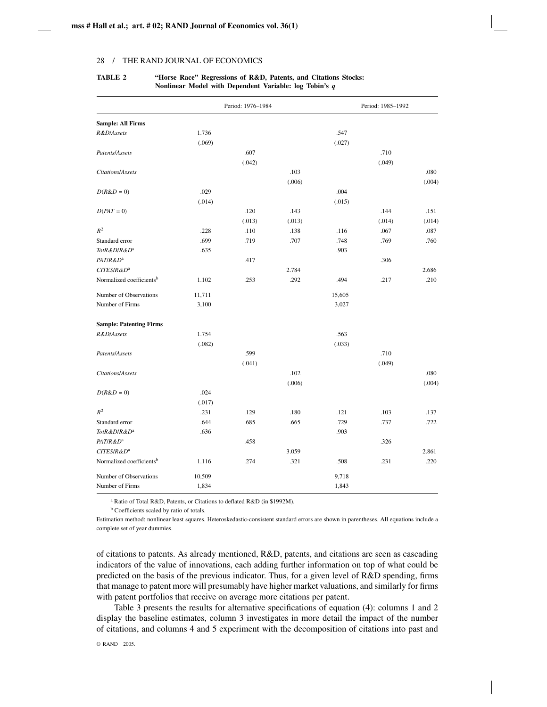# Period: 1976–1984 Period: 1985–1992 **Sample: All Firms** *R&D*/*Assets* 1.736 .547 (.069) (.027) *Patents*/*Assets* .607 .710 (.042) (.049) *Citations*/*Assets* .103 .080 (.006) (.004)  $D(R&D=0)$  .029 .004 (.014) (.015) *D*(*PAT* = 0) .131 .151 .144 .151 .143 .144 .151  $(0.013)$   $(0.014)$   $(0.014)$ *R*<sup>2</sup> .228 .110 .138 .116 .067 .087 Standard error .699 .719 .707 .748 .769 .760 *TotR&D*/*R&D*<sup>a</sup> .635 .903 *PAT/R&D***<sup>a</sup>** .306 *CITES/R&D***<sup>a</sup> 2.686** 2.686 Normalized coefficients<sup>b</sup> 1.102 .253 .292 .494 .217 .210 Number of Observations 11,711 15,605 Number of Firms 3,100 3,027 **Sample: Patenting Firms** *R&D*/*Assets* 1.754 .563 (.082) (.033) *Patents*/*Assets* .599 .710 (.041) (.049) *Citations*/*Assets* .102 .080 (.006) (.004)  $D(R&D=0)$  .024 (.017) *R*<sup>2</sup> .231 .129 .180 .121 .103 .137 Standard error .644 .685 .665 .729 .737 .722 **TotR&D/***R***&D<sup>a</sup>** .636 .903 *PAT/R&D***<sup>a</sup>** .326 .326 *CITES/R&D<sup>a</sup>* **3.059 2.861** Normalized coefficients<sup>b</sup> 1.116 .274 .321 .508 .231 .220 Number of Observations 10,509 9,718 Number of Firms 1,834 1,843

### **TABLE 2 "Horse Race" Regressions of R&D, Patents, and Citations Stocks: Nonlinear Model with Dependent Variable: log Tobin's** *q*

<sup>a</sup> Ratio of Total R&D, Patents, or Citations to deflated R&D (in \$1992M).

<sup>b</sup> Coefficients scaled by ratio of totals.

Estimation method: nonlinear least squares. Heteroskedastic-consistent standard errors are shown in parentheses. All equations include a complete set of year dummies.

of citations to patents. As already mentioned, R&D, patents, and citations are seen as cascading indicators of the value of innovations, each adding further information on top of what could be predicted on the basis of the previous indicator. Thus, for a given level of R&D spending, firms that manage to patent more will presumably have higher market valuations, and similarly for firms with patent portfolios that receive on average more citations per patent.

Table 3 presents the results for alternative specifications of equation (4): columns 1 and 2 display the baseline estimates, column 3 investigates in more detail the impact of the number of citations, and columns 4 and 5 experiment with the decomposition of citations into past and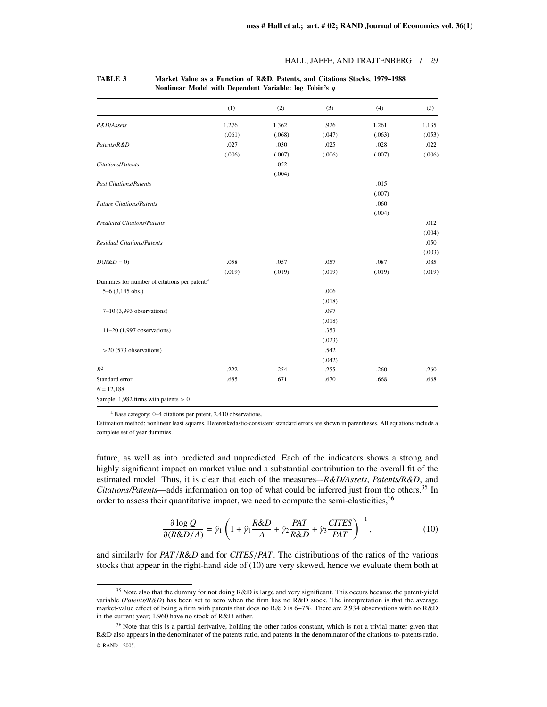|                                                          | (1)    | (2)    | (3)    | (4)     | (5)    |
|----------------------------------------------------------|--------|--------|--------|---------|--------|
| R&D/Assets                                               | 1.276  | 1.362  | .926   | 1.261   | 1.135  |
|                                                          | (.061) | (.068) | (.047) | (.063)  | (.053) |
| Patents/R&D                                              | .027   | .030   | .025   | .028    | .022   |
|                                                          | (.006) | (.007) | (.006) | (.007)  | (.006) |
| Citations/Patents                                        |        | .052   |        |         |        |
|                                                          |        | (.004) |        |         |        |
| <b>Past Citations/Patents</b>                            |        |        |        | $-.015$ |        |
|                                                          |        |        |        | (.007)  |        |
| <b>Future Citations/Patents</b>                          |        |        |        | .060    |        |
|                                                          |        |        |        | (.004)  |        |
| <b>Predicted Citations/Patents</b>                       |        |        |        |         | .012   |
|                                                          |        |        |        |         | (.004) |
| <b>Residual Citations/Patents</b>                        |        |        |        |         | .050   |
|                                                          |        |        |        |         | (.003) |
| $D(R&D=0)$                                               | .058   | .057   | .057   | .087    | .085   |
|                                                          | (.019) | (.019) | (.019) | (.019)  | (.019) |
| Dummies for number of citations per patent: <sup>a</sup> |        |        |        |         |        |
| $5-6$ (3,145 obs.)                                       |        |        | .006   |         |        |
|                                                          |        |        | (.018) |         |        |
| $7-10$ (3,993 observations)                              |        |        | .097   |         |        |
|                                                          |        |        | (.018) |         |        |
| $11-20$ (1,997 observations)                             |        |        | .353   |         |        |
|                                                          |        |        | (.023) |         |        |
| $>$ 20 (573 observations)                                |        |        | .542   |         |        |
|                                                          |        |        | (.042) |         |        |
| $R^2$                                                    | .222   | .254   | .255   | .260    | .260   |
| Standard error                                           | .685   | .671   | .670   | .668    | .668   |
| $N = 12,188$                                             |        |        |        |         |        |
| Sample: 1,982 firms with patents $> 0$                   |        |        |        |         |        |

### **TABLE 3 Market Value as a Function of R&D, Patents, and Citations Stocks, 1979–1988 Nonlinear Model with Dependent Variable: log Tobin's** *q*

<sup>a</sup> Base category: 0–4 citations per patent, 2,410 observations.

Estimation method: nonlinear least squares. Heteroskedastic-consistent standard errors are shown in parentheses. All equations include a complete set of year dummies.

future, as well as into predicted and unpredicted. Each of the indicators shows a strong and highly significant impact on market value and a substantial contribution to the overall fit of the estimated model. Thus, it is clear that each of the measures–*-R&D/Assets*, *Patents/R&D*, and *Citations/Patents*—adds information on top of what could be inferred just from the others.<sup>35</sup> In order to assess their quantitative impact, we need to compute the semi-elasticities,<sup>36</sup>

$$
\frac{\partial \log Q}{\partial (R\&D/A)} = \hat{\gamma}_1 \left( 1 + \hat{\gamma}_1 \frac{R\&D}{A} + \hat{\gamma}_2 \frac{PAT}{R\&D} + \hat{\gamma}_3 \frac{CITES}{PAT} \right)^{-1},\tag{10}
$$

and similarly for *PAT*/*R*&*D* and for *CITES*/*PAT*. The distributions of the ratios of the various stocks that appear in the right-hand side of (10) are very skewed, hence we evaluate them both at

<sup>&</sup>lt;sup>35</sup> Note also that the dummy for not doing R&D is large and very significant. This occurs because the patent-yield variable (*Patents/R&D*) has been set to zero when the firm has no R&D stock. The interpretation is that the average market-value effect of being a firm with patents that does no R&D is 6–7%. There are 2,934 observations with no R&D in the current year; 1,960 have no stock of R&D either.

 $36$  Note that this is a partial derivative, holding the other ratios constant, which is not a trivial matter given that R&D also appears in the denominator of the patents ratio, and patents in the denominator of the citations-to-patents ratio. © RAND 2005.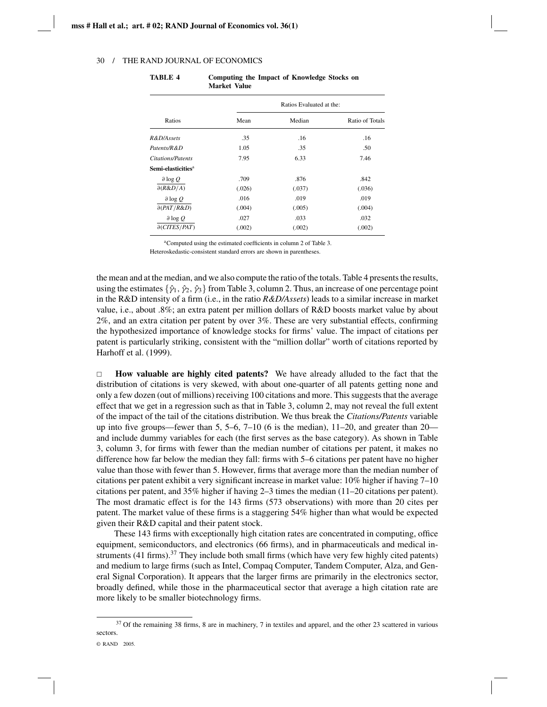| Ratios                         | Ratios Evaluated at the: |        |                 |  |
|--------------------------------|--------------------------|--------|-----------------|--|
|                                | Mean                     | Median | Ratio of Totals |  |
| R&D/Assets                     | .35                      | .16    | .16             |  |
| Patents/R&D                    | 1.05                     | .35    | .50             |  |
| <b>Citations/Patents</b>       | 7.95                     | 6.33   | 7.46            |  |
| Semi-elasticities <sup>a</sup> |                          |        |                 |  |
| $\partial \log Q$              | .709                     | .876   | .842            |  |
| $\partial(R\&D/A)$             | (.026)                   | (.037) | (.036)          |  |
| $\partial \log Q$              | .016                     | .019   | .019            |  |
| $\partial (PAT/R\&D)$          | (.004)                   | (.005) | (.004)          |  |
| $\partial \log Q$              | .027                     | .033   | .032            |  |
| $\partial (CITES/PATH)$        | (.002)                   | (.002) | (.002)          |  |

**TABLE 4 Computing the Impact of Knowledge Stocks on Market Value**

aComputed using the estimated coefficients in column 2 of Table 3.

Heteroskedastic-consistent standard errors are shown in parentheses.

the mean and at the median, and we also compute the ratio of the totals. Table 4 presents the results, using the estimates  $\{\hat{\gamma}_1, \hat{\gamma}_2, \hat{\gamma}_3\}$  from Table 3, column 2. Thus, an increase of one percentage point in the R&D intensity of a firm (i.e., in the ratio *R&D/Assets*) leads to a similar increase in market value, i.e., about .8%; an extra patent per million dollars of R&D boosts market value by about 2%, and an extra citation per patent by over 3%. These are very substantial effects, confirming the hypothesized importance of knowledge stocks for firms' value. The impact of citations per patent is particularly striking, consistent with the "million dollar" worth of citations reported by Harhoff et al. (1999).

 $\Box$  **How valuable are highly cited patents?** We have already alluded to the fact that the distribution of citations is very skewed, with about one-quarter of all patents getting none and only a few dozen (out of millions) receiving 100 citations and more. This suggests that the average effect that we get in a regression such as that in Table 3, column 2, may not reveal the full extent of the impact of the tail of the citations distribution. We thus break the *Citations/Patents* variable up into five groups—fewer than  $5, 5-6, 7-10$  (6 is the median),  $11-20$ , and greater than  $20$ and include dummy variables for each (the first serves as the base category). As shown in Table 3, column 3, for firms with fewer than the median number of citations per patent, it makes no difference how far below the median they fall: firms with 5–6 citations per patent have no higher value than those with fewer than 5. However, firms that average more than the median number of citations per patent exhibit a very significant increase in market value: 10% higher if having 7–10 citations per patent, and 35% higher if having 2–3 times the median (11–20 citations per patent). The most dramatic effect is for the 143 firms (573 observations) with more than 20 cites per patent. The market value of these firms is a staggering 54% higher than what would be expected given their R&D capital and their patent stock.

These 143 firms with exceptionally high citation rates are concentrated in computing, office equipment, semiconductors, and electronics (66 firms), and in pharmaceuticals and medical instruments (41 firms).<sup>37</sup> They include both small firms (which have very few highly cited patents) and medium to large firms (such as Intel, Compaq Computer, Tandem Computer, Alza, and General Signal Corporation). It appears that the larger firms are primarily in the electronics sector, broadly defined, while those in the pharmaceutical sector that average a high citation rate are more likely to be smaller biotechnology firms.

<sup>&</sup>lt;sup>37</sup> Of the remaining 38 firms, 8 are in machinery, 7 in textiles and apparel, and the other 23 scattered in various sectors.

<sup>©</sup> RAND 2005.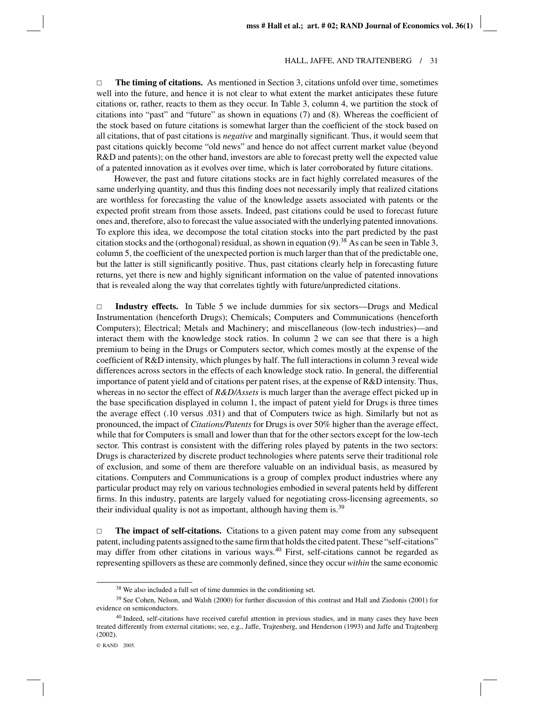$\Box$  **The timing of citations.** As mentioned in Section 3, citations unfold over time, sometimes well into the future, and hence it is not clear to what extent the market anticipates these future citations or, rather, reacts to them as they occur. In Table 3, column 4, we partition the stock of citations into "past" and "future" as shown in equations (7) and (8). Whereas the coefficient of the stock based on future citations is somewhat larger than the coefficient of the stock based on all citations, that of past citations is *negative* and marginally significant. Thus, it would seem that past citations quickly become "old news" and hence do not affect current market value (beyond R&D and patents); on the other hand, investors are able to forecast pretty well the expected value of a patented innovation as it evolves over time, which is later corroborated by future citations.

However, the past and future citations stocks are in fact highly correlated measures of the same underlying quantity, and thus this finding does not necessarily imply that realized citations are worthless for forecasting the value of the knowledge assets associated with patents or the expected profit stream from those assets. Indeed, past citations could be used to forecast future ones and, therefore, also to forecast the value associated with the underlying patented innovations. To explore this idea, we decompose the total citation stocks into the part predicted by the past citation stocks and the (orthogonal) residual, as shown in equation  $(9)^{38}$  As can be seen in Table 3, column 5, the coefficient of the unexpected portion is much larger than that of the predictable one, but the latter is still significantly positive. Thus, past citations clearly help in forecasting future returns, yet there is new and highly significant information on the value of patented innovations that is revealed along the way that correlates tightly with future/unpredicted citations.

 $\Box$  **Industry effects.** In Table 5 we include dummies for six sectors—Drugs and Medical Instrumentation (henceforth Drugs); Chemicals; Computers and Communications (henceforth Computers); Electrical; Metals and Machinery; and miscellaneous (low-tech industries)—and interact them with the knowledge stock ratios. In column 2 we can see that there is a high premium to being in the Drugs or Computers sector, which comes mostly at the expense of the coefficient of R&D intensity, which plunges by half. The full interactions in column 3 reveal wide differences across sectors in the effects of each knowledge stock ratio. In general, the differential importance of patent yield and of citations per patent rises, at the expense of R&D intensity. Thus, whereas in no sector the effect of *R&D/Assets* is much larger than the average effect picked up in the base specification displayed in column 1, the impact of patent yield for Drugs is three times the average effect (.10 versus .031) and that of Computers twice as high. Similarly but not as pronounced, the impact of *Citations/Patents* for Drugs is over 50% higher than the average effect, while that for Computers is small and lower than that for the other sectors except for the low-tech sector. This contrast is consistent with the differing roles played by patents in the two sectors: Drugs is characterized by discrete product technologies where patents serve their traditional role of exclusion, and some of them are therefore valuable on an individual basis, as measured by citations. Computers and Communications is a group of complex product industries where any particular product may rely on various technologies embodied in several patents held by different firms. In this industry, patents are largely valued for negotiating cross-licensing agreements, so their individual quality is not as important, although having them is. $39$ 

 $\Box$  **The impact of self-citations.** Citations to a given patent may come from any subsequent patent, including patents assigned to the same firm that holds the cited patent. These "self-citations" may differ from other citations in various ways.<sup>40</sup> First, self-citations cannot be regarded as representing spillovers as these are commonly defined, since they occur *within* the same economic

<sup>&</sup>lt;sup>38</sup> We also included a full set of time dummies in the conditioning set.

<sup>&</sup>lt;sup>39</sup> See Cohen, Nelson, and Walsh (2000) for further discussion of this contrast and Hall and Ziedonis (2001) for evidence on semiconductors.

<sup>&</sup>lt;sup>40</sup> Indeed, self-citations have received careful attention in previous studies, and in many cases they have been treated differently from external citations; see, e.g., Jaffe, Trajtenberg, and Henderson (1993) and Jaffe and Trajtenberg (2002).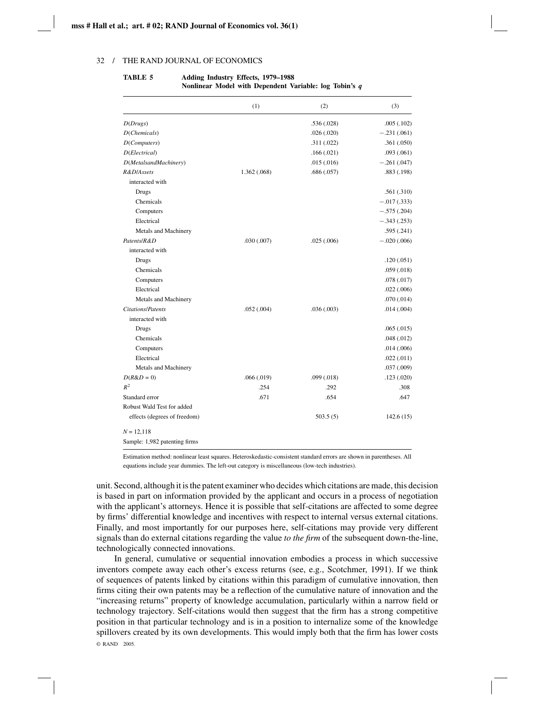|                               | (1)         | (2)        | (3)           |
|-------------------------------|-------------|------------|---------------|
| D(Drugs)                      |             | .536(.028) | .005(.102)    |
| D(Chemicals)                  |             | .026(.020) | $-.231(.061)$ |
| D(Computers)                  |             | .311(.022) | .361(.050)    |
| D(Electrical)                 |             | .166(.021) | .093(.061)    |
| D(MetalsandMachinery)         |             | .015(.016) | $-.261(.047)$ |
| R&D/Assets                    | 1.362(.068) | .686(.057) | .883 (.198)   |
| interacted with               |             |            |               |
| Drugs                         |             |            | .561(.310)    |
| Chemicals                     |             |            | $-.017(.333)$ |
| Computers                     |             |            | $-.575(.204)$ |
| Electrical                    |             |            | $-.343(.253)$ |
| Metals and Machinery          |             |            | .595(.241)    |
| Patents/R&D                   | .030(.007)  | .025(.006) | $-.020(.006)$ |
| interacted with               |             |            |               |
| Drugs                         |             |            | .120(.051)    |
| Chemicals                     |             |            | .059(.018)    |
| Computers                     |             |            | .078(.017)    |
| Electrical                    |             |            | .022(.006)    |
| Metals and Machinery          |             |            | .070(.014)    |
| <b>Citations/Patents</b>      | .052(.004)  | .036(.003) | .014(.004)    |
| interacted with               |             |            |               |
| Drugs                         |             |            | .065(.015)    |
| Chemicals                     |             |            | .048(.012)    |
| Computers                     |             |            | .014(.006)    |
| Electrical                    |             |            | .022(.011)    |
| Metals and Machinery          |             |            | .037(.009)    |
| $D(R&D=0)$                    | .066(.019)  | .099(.018) | .123(.020)    |
| $R^2$                         | .254        | .292       | .308          |
| Standard error                | .671        | .654       | .647          |
| Robust Wald Test for added    |             |            |               |
| effects (degrees of freedom)  |             | 503.5(5)   | 142.6(15)     |
| $N = 12,118$                  |             |            |               |
| Sample: 1,982 patenting firms |             |            |               |

### **TABLE 5 Adding Industry Effects, 1979–1988 Nonlinear Model with Dependent Variable: log Tobin's** *q*

Estimation method: nonlinear least squares. Heteroskedastic-consistent standard errors are shown in parentheses. All equations include year dummies. The left-out category is miscellaneous (low-tech industries).

unit. Second, although it is the patent examiner who decides which citations are made, this decision is based in part on information provided by the applicant and occurs in a process of negotiation with the applicant's attorneys. Hence it is possible that self-citations are affected to some degree by firms' differential knowledge and incentives with respect to internal versus external citations. Finally, and most importantly for our purposes here, self-citations may provide very different signals than do external citations regarding the value *to the firm* of the subsequent down-the-line, technologically connected innovations.

In general, cumulative or sequential innovation embodies a process in which successive inventors compete away each other's excess returns (see, e.g., Scotchmer, 1991). If we think of sequences of patents linked by citations within this paradigm of cumulative innovation, then firms citing their own patents may be a reflection of the cumulative nature of innovation and the "increasing returns" property of knowledge accumulation, particularly within a narrow field or technology trajectory. Self-citations would then suggest that the firm has a strong competitive position in that particular technology and is in a position to internalize some of the knowledge spillovers created by its own developments. This would imply both that the firm has lower costs © RAND 2005.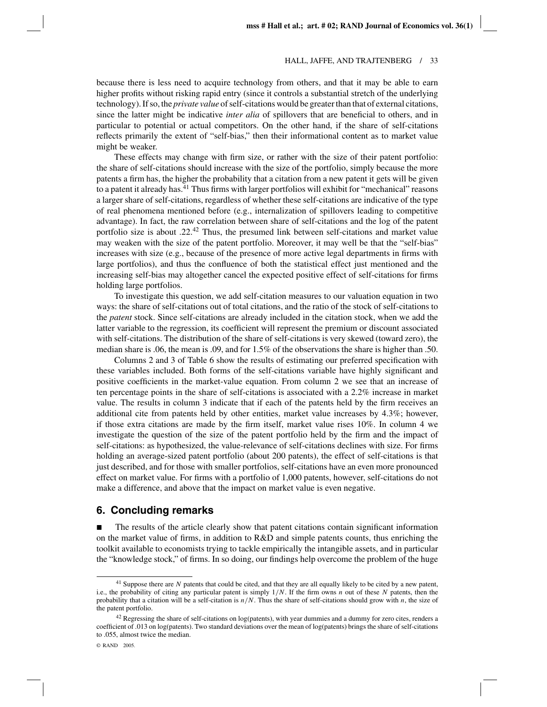because there is less need to acquire technology from others, and that it may be able to earn higher profits without risking rapid entry (since it controls a substantial stretch of the underlying technology). If so, the *private value* of self-citations would be greater than that of external citations, since the latter might be indicative *inter alia* of spillovers that are beneficial to others, and in particular to potential or actual competitors. On the other hand, if the share of self-citations reflects primarily the extent of "self-bias," then their informational content as to market value might be weaker.

These effects may change with firm size, or rather with the size of their patent portfolio: the share of self-citations should increase with the size of the portfolio, simply because the more patents a firm has, the higher the probability that a citation from a new patent it gets will be given to a patent it already has.<sup>41</sup> Thus firms with larger portfolios will exhibit for "mechanical" reasons a larger share of self-citations, regardless of whether these self-citations are indicative of the type of real phenomena mentioned before (e.g., internalization of spillovers leading to competitive advantage). In fact, the raw correlation between share of self-citations and the log of the patent portfolio size is about  $.22^{42}$  Thus, the presumed link between self-citations and market value may weaken with the size of the patent portfolio. Moreover, it may well be that the "self-bias" increases with size (e.g., because of the presence of more active legal departments in firms with large portfolios), and thus the confluence of both the statistical effect just mentioned and the increasing self-bias may altogether cancel the expected positive effect of self-citations for firms holding large portfolios.

To investigate this question, we add self-citation measures to our valuation equation in two ways: the share of self-citations out of total citations, and the ratio of the stock of self-citations to the *patent* stock. Since self-citations are already included in the citation stock, when we add the latter variable to the regression, its coefficient will represent the premium or discount associated with self-citations. The distribution of the share of self-citations is very skewed (toward zero), the median share is .06, the mean is .09, and for 1.5% of the observations the share is higher than .50.

Columns 2 and 3 of Table 6 show the results of estimating our preferred specification with these variables included. Both forms of the self-citations variable have highly significant and positive coefficients in the market-value equation. From column 2 we see that an increase of ten percentage points in the share of self-citations is associated with a 2.2% increase in market value. The results in column 3 indicate that if each of the patents held by the firm receives an additional cite from patents held by other entities, market value increases by 4.3%; however, if those extra citations are made by the firm itself, market value rises 10%. In column 4 we investigate the question of the size of the patent portfolio held by the firm and the impact of self-citations: as hypothesized, the value-relevance of self-citations declines with size. For firms holding an average-sized patent portfolio (about 200 patents), the effect of self-citations is that just described, and for those with smaller portfolios, self-citations have an even more pronounced effect on market value. For firms with a portfolio of 1,000 patents, however, self-citations do not make a difference, and above that the impact on market value is even negative.

# **6. Concluding remarks**

 $\blacksquare$  The results of the article clearly show that patent citations contain significant information on the market value of firms, in addition to R&D and simple patents counts, thus enriching the toolkit available to economists trying to tackle empirically the intangible assets, and in particular the "knowledge stock," of firms. In so doing, our findings help overcome the problem of the huge

<sup>&</sup>lt;sup>41</sup> Suppose there are *N* patents that could be cited, and that they are all equally likely to be cited by a new patent, i.e., the probability of citing any particular patent is simply 1/*N*. If the firm owns *n* out of these *N* patents, then the probability that a citation will be a self-citation is *n*/*N*. Thus the share of self-citations should grow with *n*, the size of the patent portfolio.

 $42$  Regressing the share of self-citations on log(patents), with year dummies and a dummy for zero cites, renders a coefficient of .013 on log(patents). Two standard deviations over the mean of log(patents) brings the share of self-citations to .055, almost twice the median.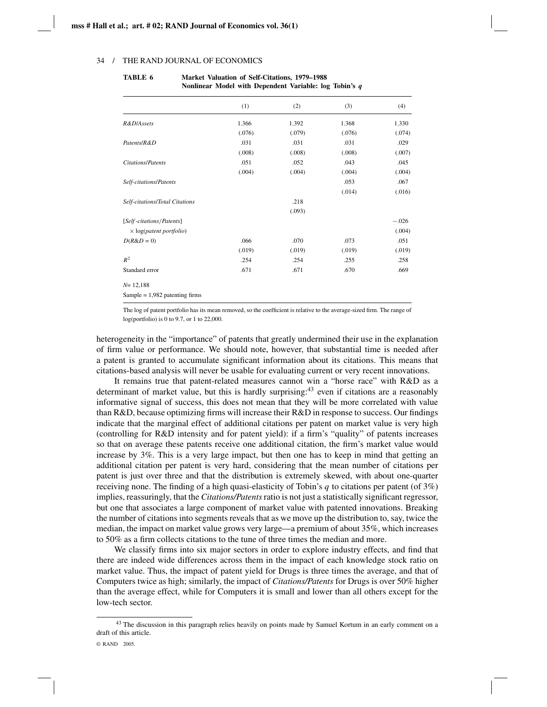|                                         | (1)    | (2)    | (3)    | (4)     |
|-----------------------------------------|--------|--------|--------|---------|
| R&D/Assets                              | 1.366  | 1.392  | 1.368  | 1.330   |
|                                         | (.076) | (.079) | (.076) | (.074)  |
| Patents/R&D                             | .031   | .031   | .031   | .029    |
|                                         | (.008) | (.008) | (.008) | (.007)  |
| <b>Citations/Patents</b>                | .051   | .052   | .043   | .045    |
|                                         | (.004) | (.004) | (.004) | (.004)  |
| Self-citations/Patents                  |        |        | .053   | .067    |
|                                         |        |        | (.014) | (.016)  |
| Self-citations/Total Citations          |        | .218   |        |         |
|                                         |        | (.093) |        |         |
| [Self-citations/Patents]                |        |        |        | $-.026$ |
| $\times$ log( <i>patent portfolio</i> ) |        |        |        | (.004)  |
| $D(R&D=0)$                              | .066   | .070   | .073   | .051    |
|                                         | (.019) | (.019) | (.019) | (.019)  |
| $R^2$                                   | .254   | .254   | .255   | .258    |
| Standard error                          | .671   | .671   | .670   | .669    |
| $N = 12,188$                            |        |        |        |         |
| Sample = $1,982$ patenting firms        |        |        |        |         |

### **TABLE 6 Market Valuation of Self-Citations, 1979–1988 Nonlinear Model with Dependent Variable: log Tobin's** *q*

The log of patent portfolio has its mean removed, so the coefficient is relative to the average-sized firm. The range of log(portfolio) is 0 to 9.7, or 1 to 22,000.

heterogeneity in the "importance" of patents that greatly undermined their use in the explanation of firm value or performance. We should note, however, that substantial time is needed after a patent is granted to accumulate significant information about its citations. This means that citations-based analysis will never be usable for evaluating current or very recent innovations.

It remains true that patent-related measures cannot win a "horse race" with R&D as a determinant of market value, but this is hardly surprising: $43$  even if citations are a reasonably informative signal of success, this does not mean that they will be more correlated with value than R&D, because optimizing firms will increase their R&D in response to success. Our findings indicate that the marginal effect of additional citations per patent on market value is very high (controlling for R&D intensity and for patent yield): if a firm's "quality" of patents increases so that on average these patents receive one additional citation, the firm's market value would increase by 3%. This is a very large impact, but then one has to keep in mind that getting an additional citation per patent is very hard, considering that the mean number of citations per patent is just over three and that the distribution is extremely skewed, with about one-quarter receiving none. The finding of a high quasi-elasticity of Tobin's *q* to citations per patent (of 3%) implies, reassuringly, that the *Citations/Patents*ratio is not just a statistically significant regressor, but one that associates a large component of market value with patented innovations. Breaking the number of citations into segments reveals that as we move up the distribution to, say, twice the median, the impact on market value grows very large—a premium of about 35%, which increases to 50% as a firm collects citations to the tune of three times the median and more.

We classify firms into six major sectors in order to explore industry effects, and find that there are indeed wide differences across them in the impact of each knowledge stock ratio on market value. Thus, the impact of patent yield for Drugs is three times the average, and that of Computers twice as high; similarly, the impact of *Citations/Patents* for Drugs is over 50% higher than the average effect, while for Computers it is small and lower than all others except for the low-tech sector.

<sup>&</sup>lt;sup>43</sup> The discussion in this paragraph relies heavily on points made by Samuel Kortum in an early comment on a draft of this article.

<sup>©</sup> RAND 2005.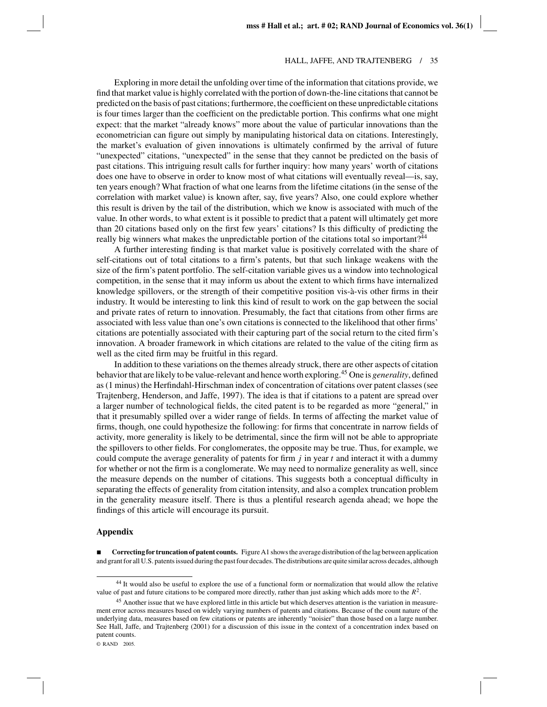Exploring in more detail the unfolding over time of the information that citations provide, we find that market value is highly correlated with the portion of down-the-line citations that cannot be predicted on the basis of past citations; furthermore, the coefficient on these unpredictable citations is four times larger than the coefficient on the predictable portion. This confirms what one might expect: that the market "already knows" more about the value of particular innovations than the econometrician can figure out simply by manipulating historical data on citations. Interestingly, the market's evaluation of given innovations is ultimately confirmed by the arrival of future "unexpected" citations, "unexpected" in the sense that they cannot be predicted on the basis of past citations. This intriguing result calls for further inquiry: how many years' worth of citations does one have to observe in order to know most of what citations will eventually reveal—is, say, ten years enough? What fraction of what one learns from the lifetime citations (in the sense of the correlation with market value) is known after, say, five years? Also, one could explore whether this result is driven by the tail of the distribution, which we know is associated with much of the value. In other words, to what extent is it possible to predict that a patent will ultimately get more than 20 citations based only on the first few years' citations? Is this difficulty of predicting the really big winners what makes the unpredictable portion of the citations total so important?<sup>44</sup>

A further interesting finding is that market value is positively correlated with the share of self-citations out of total citations to a firm's patents, but that such linkage weakens with the size of the firm's patent portfolio. The self-citation variable gives us a window into technological competition, in the sense that it may inform us about the extent to which firms have internalized knowledge spillovers, or the strength of their competitive position vis-à-vis other firms in their industry. It would be interesting to link this kind of result to work on the gap between the social and private rates of return to innovation. Presumably, the fact that citations from other firms are associated with less value than one's own citations is connected to the likelihood that other firms' citations are potentially associated with their capturing part of the social return to the cited firm's innovation. A broader framework in which citations are related to the value of the citing firm as well as the cited firm may be fruitful in this regard.

In addition to these variations on the themes already struck, there are other aspects of citation behavior that are likely to be value-relevant and hence worth exploring.<sup>45</sup> One is *generality*, defined as (1 minus) the Herfindahl-Hirschman index of concentration of citations over patent classes (see Trajtenberg, Henderson, and Jaffe, 1997). The idea is that if citations to a patent are spread over a larger number of technological fields, the cited patent is to be regarded as more "general," in that it presumably spilled over a wider range of fields. In terms of affecting the market value of firms, though, one could hypothesize the following: for firms that concentrate in narrow fields of activity, more generality is likely to be detrimental, since the firm will not be able to appropriate the spillovers to other fields. For conglomerates, the opposite may be true. Thus, for example, we could compute the average generality of patents for firm *j* in year *t* and interact it with a dummy for whether or not the firm is a conglomerate. We may need to normalize generality as well, since the measure depends on the number of citations. This suggests both a conceptual difficulty in separating the effects of generality from citation intensity, and also a complex truncation problem in the generality measure itself. There is thus a plentiful research agenda ahead; we hope the findings of this article will encourage its pursuit.

### **Appendix**

**Correcting for truncation of patent counts.** Figure A1 shows the average distribution of the lag between application and grant for all U.S. patents issued during the past four decades. The distributions are quite similar across decades, although

<sup>44</sup> It would also be useful to explore the use of a functional form or normalization that would allow the relative value of past and future citations to be compared more directly, rather than just asking which adds more to the *R*2.

<sup>45</sup> Another issue that we have explored little in this article but which deserves attention is the variation in measurement error across measures based on widely varying numbers of patents and citations. Because of the count nature of the underlying data, measures based on few citations or patents are inherently "noisier" than those based on a large number. See Hall, Jaffe, and Trajtenberg (2001) for a discussion of this issue in the context of a concentration index based on patent counts.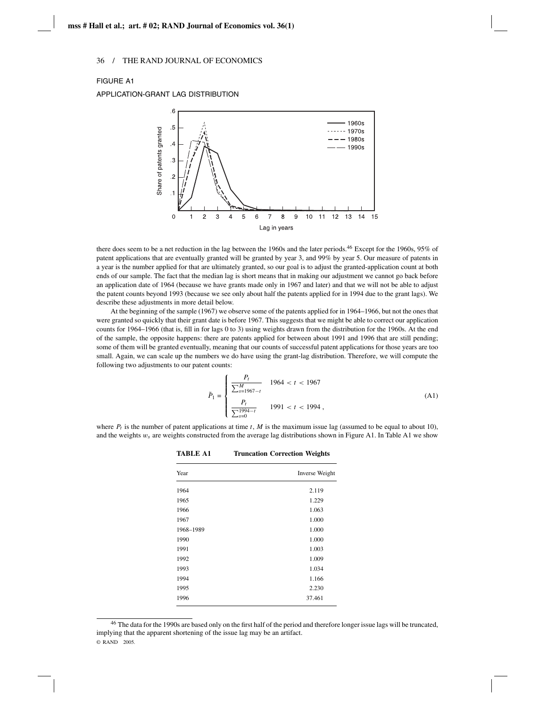### FIGURE A1

APPLICATION-GRANT LAG DISTRIBUTION



there does seem to be a net reduction in the lag between the 1960s and the later periods.46 Except for the 1960s, 95% of patent applications that are eventually granted will be granted by year 3, and 99% by year 5. Our measure of patents in a year is the number applied for that are ultimately granted, so our goal is to adjust the granted-application count at both ends of our sample. The fact that the median lag is short means that in making our adjustment we cannot go back before an application date of 1964 (because we have grants made only in 1967 and later) and that we will not be able to adjust the patent counts beyond 1993 (because we see only about half the patents applied for in 1994 due to the grant lags). We describe these adjustments in more detail below.

At the beginning of the sample (1967) we observe some of the patents applied for in 1964–1966, but not the ones that were granted so quickly that their grant date is before 1967. This suggests that we might be able to correct our application counts for 1964–1966 (that is, fill in for lags 0 to 3) using weights drawn from the distribution for the 1960s. At the end of the sample, the opposite happens: there are patents applied for between about 1991 and 1996 that are still pending; some of them will be granted eventually, meaning that our counts of successful patent applications for those years are too small. Again, we can scale up the numbers we do have using the grant-lag distribution. Therefore, we will compute the following two adjustments to our patent counts:

$$
\tilde{P}_1 = \begin{cases}\n\frac{P_t}{\sum_{s=1967-t}^{M}} & 1964 < t < 1967 \\
\frac{P_t}{\sum_{s=0}^{1994-t}} & 1991 < t < 1994\n\end{cases}\n\tag{A1}
$$

where  $P_t$  is the number of patent applications at time  $t$ ,  $M$  is the maximum issue lag (assumed to be equal to about 10), and the weights  $w_s$  are weights constructed from the average lag distributions shown in Figure A1. In Table A1 we show

**TABLE A1 Truncation Correction Weights**

| Year      | Inverse Weight |
|-----------|----------------|
| 1964      | 2.119          |
| 1965      | 1.229          |
| 1966      | 1.063          |
| 1967      | 1.000          |
| 1968-1989 | 1.000          |
| 1990      | 1.000          |
| 1991      | 1.003          |
| 1992      | 1.009          |
| 1993      | 1.034          |
| 1994      | 1.166          |
| 1995      | 2.230          |
| 1996      | 37.461         |

 $46$  The data for the 1990s are based only on the first half of the period and therefore longer issue lags will be truncated, implying that the apparent shortening of the issue lag may be an artifact. © RAND 2005.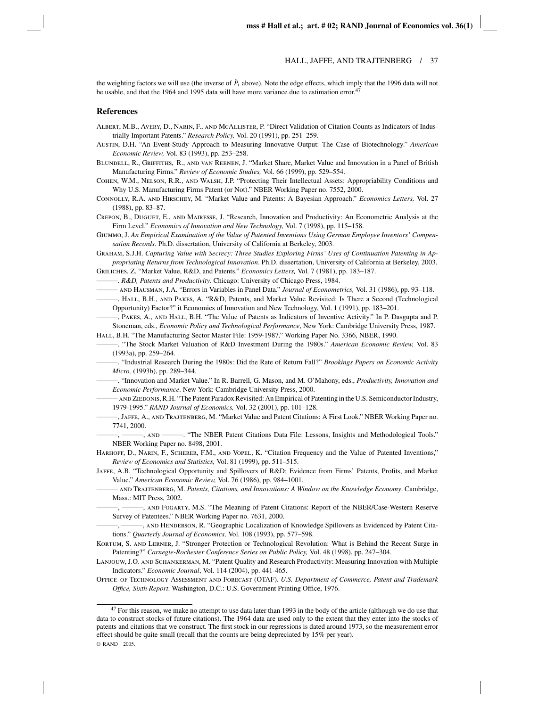the weighting factors we will use (the inverse of  $\tilde{P}_t$  above). Note the edge effects, which imply that the 1996 data will not be usable, and that the 1964 and 1995 data will have more variance due to estimation error.<sup>47</sup>

#### **References**

- Albert, M.B., Avery, D., Narin, F., and McAllister, P. "Direct Validation of Citation Counts as Indicators of Industrially Important Patents." *Research Policy,* Vol. 20 (1991), pp. 251–259.
- Austin, D.H. "An Event-Study Approach to Measuring Innovative Output: The Case of Biotechnology." *American Economic Review,* Vol. 83 (1993), pp. 253–258.
- Blundell, R., Griffiths, R., and van Reenen, J. "Market Share, Market Value and Innovation in a Panel of British Manufacturing Firms." *Review of Economic Studies,* Vol. 66 (1999), pp. 529–554.
- Cohen, W.M., Nelson, R.R., and Walsh, J.P. "Protecting Their Intellectual Assets: Appropriability Conditions and Why U.S. Manufacturing Firms Patent (or Not)." NBER Working Paper no. 7552, 2000.
- Connolly, R.A. and Hirschey, M. "Market Value and Patents: A Bayesian Approach." *Economics Letters,* Vol. 27 (1988), pp. 83–87.

Crepon, B., Duguet, E., and Mairesse, J. "Research, Innovation and Productivity: An Econometric Analysis at the Firm Level." *Economics of Innovation and New Technology,* Vol. 7 (1998), pp. 115–158.

Giummo, J. *An Empirical Examination of the Value of Patented Inventions Using German Employee Inventors' Compensation Records*. Ph.D. dissertation, University of California at Berkeley, 2003.

Graham, S.J.H. *Capturing Value with Secrecy: Three Studies Exploring Firms' Uses of Continuation Patenting in Appropriating Returns from Technological Innovation*. Ph.D. dissertation, University of California at Berkeley, 2003.

Griliches, Z. "Market Value, R&D, and Patents." *Economics Letters,* Vol. 7 (1981), pp. 183–187.

———. *R&D, Patents and Productivity*. Chicago: University of Chicago Press, 1984.

——— and Hausman, J.A. "Errors in Variables in Panel Data." *Journal of Econometrics,* Vol. 31 (1986), pp. 93–118.

———, Hall, B.H., and Pakes, A. "R&D, Patents, and Market Value Revisited: Is There a Second (Technological Opportunity) Factor?" it Economics of Innovation and New Technology, Vol. 1 (1991), pp. 183–201.

———, Pakes, A., and Hall, B.H. "The Value of Patents as Indicators of Inventive Activity." In P. Dasgupta and P. Stoneman, eds., *Economic Policy and Technological Performance*, New York: Cambridge University Press, 1987. Hall, B.H. "The Manufacturing Sector Master File: 1959-1987." Working Paper No. 3366, NBER, 1990.

- ———. "The Stock Market Valuation of R&D Investment During the 1980s." *American Economic Review,* Vol. 83 (1993a), pp. 259–264.
	- ———. "Industrial Research During the 1980s: Did the Rate of Return Fall?" *Brookings Papers on Economic Activity Micro,* (1993b), pp. 289–344.

———. "Innovation and Market Value." In R. Barrell, G. Mason, and M. O'Mahony, eds., *Productivity, Innovation and Economic Performance*. New York: Cambridge University Press, 2000.

- AND ZIEDONIS, R.H. "The Patent Paradox Revisited: An Empirical of Patenting in the U.S. Semiconductor Industry, 1979-1995." *RAND Journal of Economics,* Vol. 32 (2001), pp. 101–128.
- ———, Jaffe, A., and Trajtenberg, M. "Market Value and Patent Citations: A First Look." NBER Working Paper no. 7741, 2000.
- ———, ———, and ———. "The NBER Patent Citations Data File: Lessons, Insights and Methodological Tools." NBER Working Paper no. 8498, 2001.
- Harhoff, D., Narin, F., Scherer, F.M., and Vopel, K. "Citation Frequency and the Value of Patented Inventions," *Review of Economics and Statistics,* Vol. 81 (1999), pp. 511–515.
- Jaffe, A.B. "Technological Opportunity and Spillovers of R&D: Evidence from Firms' Patents, Profits, and Market Value." *American Economic Review,* Vol. 76 (1986), pp. 984–1001.
- ——— and Trajtenberg, M. *Patents, Citations, and Innovations: A Window on the Knowledge Economy*. Cambridge, Mass.: MIT Press, 2002.
- ———, ———, and Fogarty, M.S. "The Meaning of Patent Citations: Report of the NBER/Case-Western Reserve Survey of Patentees." NBER Working Paper no. 7631, 2000.

———, ———, and Henderson, R. "Geographic Localization of Knowledge Spillovers as Evidenced by Patent Citations." *Quarterly Journal of Economics,* Vol. 108 (1993), pp. 577–598.

- Kortum, S. and Lerner, J. "Stronger Protection or Technological Revolution: What is Behind the Recent Surge in Patenting?" *Carnegie-Rochester Conference Series on Public Policy,* Vol. 48 (1998), pp. 247–304.
- Lanjouw, J.O. and Schankerman, M. "Patent Quality and Research Productivity: Measuring Innovation with Multiple Indicators." *Economic Journal*, Vol. 114 (2004), pp. 441-465.
- Office of Technology Assessment and Forecast (OTAF). *U.S. Department of Commerce, Patent and Trademark Office, Sixth Report*. Washington, D.C.: U.S. Government Printing Office, 1976.

 $47$  For this reason, we make no attempt to use data later than 1993 in the body of the article (although we do use that data to construct stocks of future citations). The 1964 data are used only to the extent that they enter into the stocks of patents and citations that we construct. The first stock in our regressions is dated around 1973, so the measurement error effect should be quite small (recall that the counts are being depreciated by 15% per year). © RAND 2005.